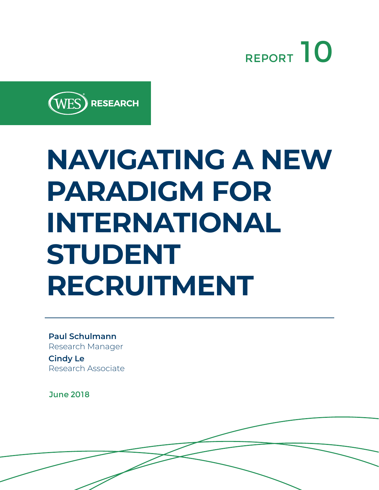



# **NAVIGATING A NEW PARADIGM FOR INTERNATIONAL STUDENT RECRUITMENT**

**Paul Schulmann**  Research Manager

**Cindy Le**  Research Associate

June 2018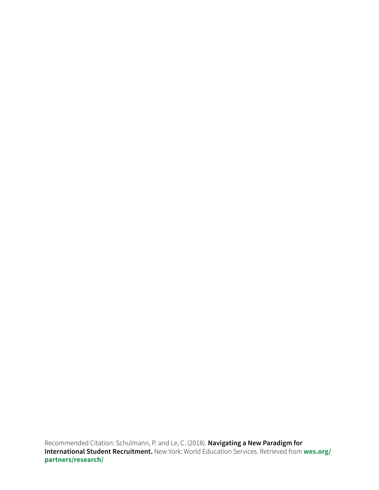Recommended Citation: Schulmann, P. and Le, C. (2018). **Navigating a New Paradigm for International Student Recruitment.** New York: World Education Services. Retrieved from **[wes.org/](https://www.wes.org/partners/research/) [partners/research/](https://www.wes.org/partners/research/)**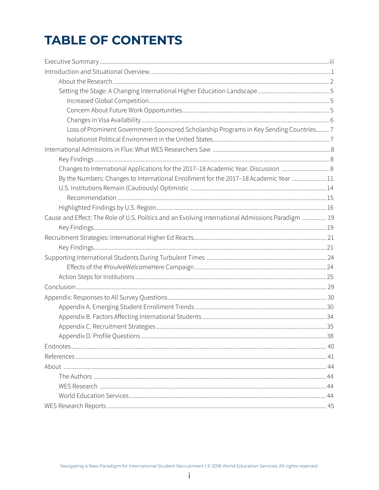### **TABLE OF CONTENTS**

| Loss of Prominent Government-Sponsored Scholarship Programs in Key Sending Countries 7            |  |
|---------------------------------------------------------------------------------------------------|--|
|                                                                                                   |  |
|                                                                                                   |  |
|                                                                                                   |  |
| Changes to International Applications for the 2017-18 Academic Year: Discussion                   |  |
| By the Numbers: Changes to International Enrollment for the 2017-18 Academic Year 11              |  |
|                                                                                                   |  |
|                                                                                                   |  |
|                                                                                                   |  |
| Cause and Effect: The Role of U.S. Politics and an Evolving International Admissions Paradigm  19 |  |
|                                                                                                   |  |
|                                                                                                   |  |
|                                                                                                   |  |
|                                                                                                   |  |
|                                                                                                   |  |
|                                                                                                   |  |
|                                                                                                   |  |
|                                                                                                   |  |
|                                                                                                   |  |
|                                                                                                   |  |
|                                                                                                   |  |
|                                                                                                   |  |
|                                                                                                   |  |
|                                                                                                   |  |
|                                                                                                   |  |
|                                                                                                   |  |
|                                                                                                   |  |
|                                                                                                   |  |
|                                                                                                   |  |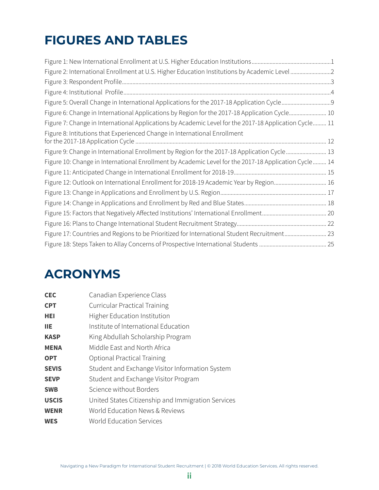### **FIGURES AND TABLES**

| Figure 2: International Enrollment at U.S. Higher Education Institutions by Academic Level2           |  |
|-------------------------------------------------------------------------------------------------------|--|
|                                                                                                       |  |
|                                                                                                       |  |
|                                                                                                       |  |
| Figure 6: Change in International Applications by Region for the 2017-18 Application Cycle 10         |  |
| Figure 7: Change in International Applications by Academic Level for the 2017-18 Application Cycle 11 |  |
| Figure 8: Intitutions that Experienced Change in International Enrollment                             |  |
| Figure 9: Change in International Enrollment by Region for the 2017-18 Application Cycle  13          |  |
| Figure 10: Change in International Enrollment by Academic Level for the 2017-18 Application Cycle 14  |  |
|                                                                                                       |  |
| Figure 12: Outlook on International Enrollment for 2018-19 Academic Year by Region 16                 |  |
|                                                                                                       |  |
|                                                                                                       |  |
|                                                                                                       |  |
|                                                                                                       |  |
| Figure 17: Countries and Regions to be Prioritized for International Student Recruitment 23           |  |
|                                                                                                       |  |

### **ACRONYMS**

| <b>CEC</b>   | Canadian Experience Class                          |
|--------------|----------------------------------------------------|
| <b>CPT</b>   | <b>Curricular Practical Training</b>               |
| HEI          | Higher Education Institution                       |
| ШE           | Institute of International Education               |
| <b>KASP</b>  | King Abdullah Scholarship Program                  |
| <b>MENA</b>  | Middle East and North Africa                       |
| <b>OPT</b>   | <b>Optional Practical Training</b>                 |
| <b>SEVIS</b> | Student and Exchange Visitor Information System    |
| <b>SEVP</b>  | Student and Exchange Visitor Program               |
| <b>SWB</b>   | Science without Borders                            |
| <b>USCIS</b> | United States Citizenship and Immigration Services |
| <b>WENR</b>  | World Education News & Reviews                     |
| WES          | World Education Services                           |
|              |                                                    |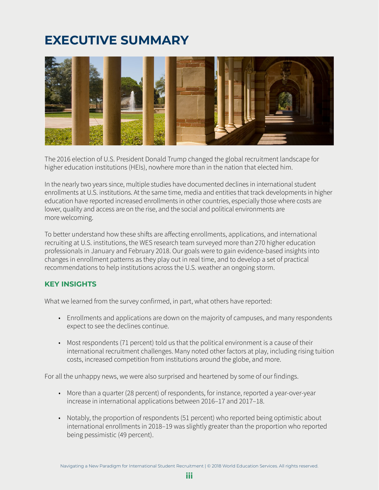### <span id="page-4-0"></span>**EXECUTIVE SUMMARY**



The 2016 election of U.S. President Donald Trump changed the global recruitment landscape for higher education institutions (HEIs), nowhere more than in the nation that elected him.

In the nearly two years since, multiple studies have documented declines in international student enrollments at U.S. institutions. At the same time, media and entities that track developments in higher education have reported increased enrollments in other countries, especially those where costs are lower, quality and access are on the rise, and the social and political environments are more welcoming.

To better understand how these shifts are affecting enrollments, applications, and international recruiting at U.S. institutions, the WES research team surveyed more than 270 higher education professionals in January and February 2018. Our goals were to gain evidence-based insights into changes in enrollment patterns as they play out in real time, and to develop a set of practical recommendations to help institutions across the U.S. weather an ongoing storm.

### **KEY INSIGHTS**

What we learned from the survey confirmed, in part, what others have reported:

- Enrollments and applications are down on the majority of campuses, and many respondents expect to see the declines continue.
- Most respondents (71 percent) told us that the political environment is a cause of their international recruitment challenges. Many noted other factors at play, including rising tuition costs, increased competition from institutions around the globe, and more.

For all the unhappy news, we were also surprised and heartened by some of our findings.

- More than a quarter (28 percent) of respondents, for instance, reported a year-over-year increase in international applications between 2016–17 and 2017–18.
- Notably, the proportion of respondents (51 percent) who reported being optimistic about international enrollments in 2018–19 was slightly greater than the proportion who reported being pessimistic (49 percent).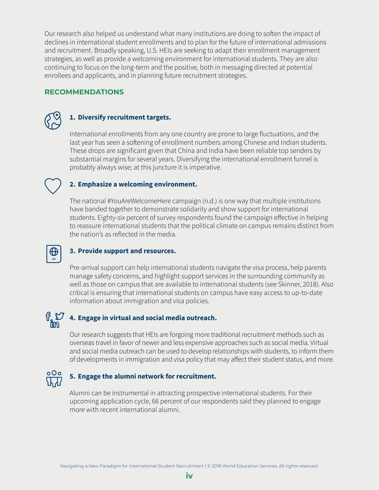Our research also helped us understand what many institutions are doing to soften the impact of declines in international student enrollments and to plan for the future of international admissions and recruitment. Broadly speaking, U.S. HEIs are seeking to adapt their enrollment management strategies, as well as provide a welcoming environment for international students. They are also continuing to focus on the long-term and the positive, both in messaging directed at potential enrollees and applicants, and in planning future recruitment strategies.

### **RECOMMENDATIONS**



### **1. Diversify recruitment targets.**

International enrollments from any one country are prone to large fluctuations, and the last year has seen a softening of enrollment numbers among Chinese and Indian students. These drops are significant given that China and India have been reliable top senders by substantial margins for several years. Diversifying the international enrollment funnel is probably always wise; at this juncture it is imperative.

### **2. Emphasize a welcoming environment.**

The national #YouAreWelcomeHere campaign (n.d.) is one way that multiple institutions have banded together to demonstrate solidarity and show support for international students. Eighty-six percent of survey respondents found the campaign effective in helping to reassure international students that the political climate on campus remains distinct from the nation's as reflected in the media.

### **3. Provide support and resources.**

Pre-arrival support can help international students navigate the visa process, help parents manage safety concerns, and highlight support services in the surrounding community as well as those on campus that are available to international students (see Skinner, 2018). Also critical is ensuring that international students on campus have easy access to up-to-date information about immigration and visa policies.

### $\mathfrak{g}$   $\mathfrak{O}$ **4. Engage in virtual and social media outreach.**

Our research suggests that HEIs are forgoing more traditional recruitment methods such as overseas travel in favor of newer and less expensive approaches such as social media. Virtual and social media outreach can be used to develop relationships with students, to inform them of developments in immigration and visa policy that may affect their student status, and more.

### **5. Engage the alumni network for recruitment.**

Alumni can be instrumental in attracting prospective international students. For their upcoming application cycle, 66 percent of our respondents said they planned to engage more with recent international alumni.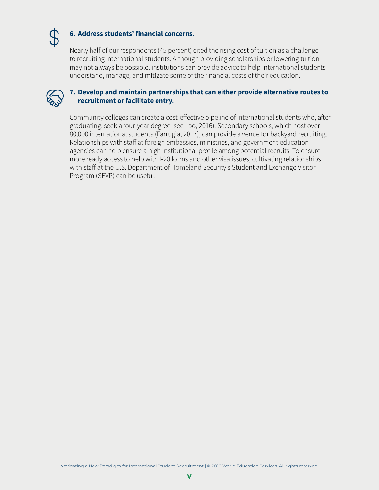

### **6. Address students' financial concerns.**

Nearly half of our respondents (45 percent) cited the rising cost of tuition as a challenge to recruiting international students. Although providing scholarships or lowering tuition may not always be possible, institutions can provide advice to help international students understand, manage, and mitigate some of the financial costs of their education.



### **7. Develop and maintain partnerships that can either provide alternative routes to recruitment or facilitate entry.**

Community colleges can create a cost-effective pipeline of international students who, after graduating, seek a four-year degree (see Loo, 2016). Secondary schools, which host over 80,000 international students (Farrugia, 2017), can provide a venue for backyard recruiting. Relationships with staff at foreign embassies, ministries, and government education agencies can help ensure a high institutional profile among potential recruits. To ensure more ready access to help with I-20 forms and other visa issues, cultivating relationships with staff at the U.S. Department of Homeland Security's Student and Exchange Visitor Program (SEVP) can be useful.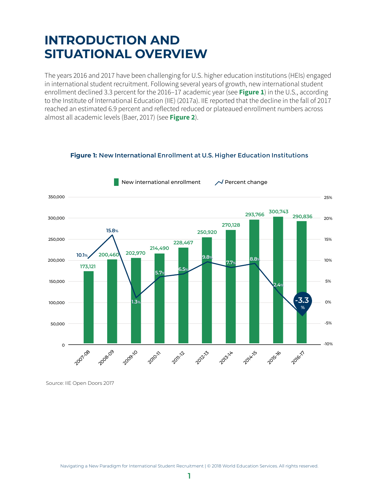### <span id="page-7-0"></span>**INTRODUCTION AND SITUATIONAL OVERVIEW**

The years 2016 and 2017 have been challenging for U.S. higher education institutions (HEIs) engaged in international student recruitment. Following several years of growth, new international student enrollment declined 3.3 percent for the [2016–17](https://www.iie.org/Research-and-Insights/Open-Doors/Data/International-Students/Enrollment) academic year (see **[Figure 1](#page-7-1)**) in the U.S., according to the Institute of International Education (IIE) (2017a). IIE reported that the decline in the fall of 2017 reached an [estimated 6.9](https://www.iie.org/en/Why-IIE/Announcements/2017-09-20-International-Enrollment-Hot-Topics-Survey) percent and reflected reduced or plateaued enrollment numbers across almost all academic levels (Baer, 2017) (see **[Figure 2](#page-8-1)**).



#### <span id="page-7-1"></span>**Figure 1:** New **International** Enrollment at U.S. Higher Education Institutions

Source: IIE Open Doors 2017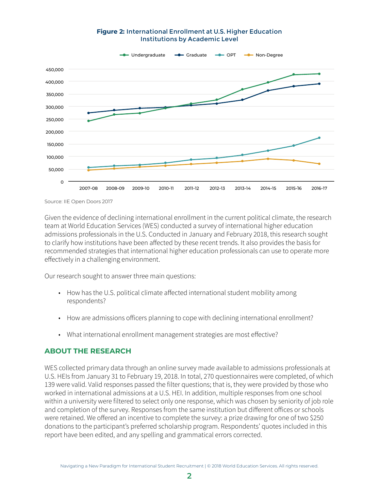#### <span id="page-8-1"></span>**Figure 2:** International Enrollment at U.S. Higher Education Institutions by Academic Level

<span id="page-8-0"></span>

Source: IIE Open Doors 2017

Given the evidence of declining international enrollment in the current political climate, the research team at World Education Services (WES) conducted a survey of international higher education admissions professionals in the U.S. Conducted in January and February 2018, this research sought to clarify how institutions have been affected by these recent trends. It also provides the basis for recommended strategies that international higher education professionals can use to operate more effectively in a challenging environment.

Our research sought to answer three main questions:

- How has the U.S. political climate affected international student mobility among respondents?
- How are admissions officers planning to cope with declining international enrollment?
- What international enrollment management strategies are most effective?

### **ABOUT THE RESEARCH**

WES collected primary data through an online survey made available to admissions professionals at U.S. HEIs from January 31 to February 19, 2018. In total, 270 questionnaires were completed, of which 139 were valid. Valid responses passed the filter questions; that is, they were provided by those who worked in international admissions at a U.S. HEI. In addition, multiple responses from one school within a university were filtered to select only one response, which was chosen by seniority of job role and completion of the survey. Responses from the same institution but different offices or schools were retained. We offered an incentive to complete the survey: a prize drawing for one of two \$250 donations to the participant's preferred scholarship program. Respondents' quotes included in this report have been edited, and any spelling and grammatical errors corrected.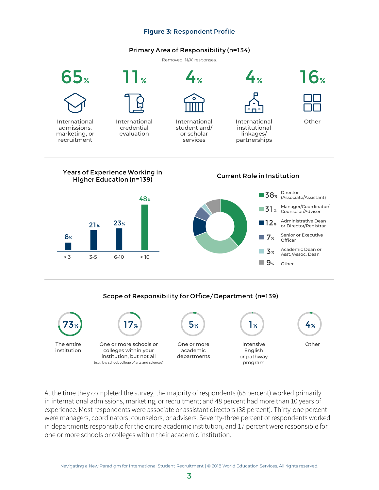#### **Figure 3:** Respondent Profile

#### Primary Area of Responsibility (n=134)

Removed 'N/A' responses.

<span id="page-9-0"></span>

#### Scope of Responsibility for Office/Department (n=139)



At the time they completed the survey, the majority of respondents (65 percent) worked primarily in international admissions, marketing, or recruitment; and 48 percent had more than 10 years of experience. Most respondents were associate or assistant directors (38 percent). Thirty-one percent were managers, coordinators, counselors, or advisers. Seventy-three percent of respondents worked in departments responsible for the entire academic institution, and 17 percent were responsible for one or more schools or colleges within their academic institution.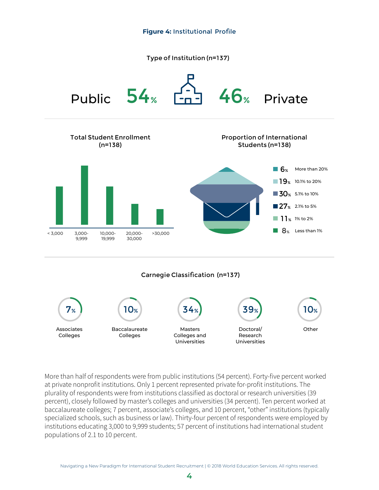<span id="page-10-1"></span>Type of Institution (n=137)

<span id="page-10-0"></span>

More than half of respondents were from public institutions (54 percent). Forty-five percent worked at private nonprofit institutions. Only 1 percent represented private for-profit institutions. The plurality of respondents were from institutions classified as doctoral or research universities (39 percent), closely followed by master's colleges and universities (34 percent). Ten percent worked at baccalaureate colleges; 7 percent, associate's colleges, and 10 percent, "other" institutions (typically specialized schools, such as business or law). Thirty-four percent of respondents were employed by institutions educating 3,000 to 9,999 students; 57 percent of institutions had international student populations of 2.1 to 10 percent.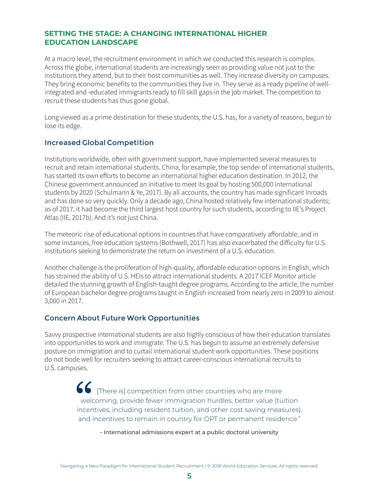### <span id="page-11-0"></span>**SETTING THE STAGE: A CHANGING INTERNATIONAL HIGHER EDUCATION LANDSCAPE**

At a macro level, the recruitment environment in which we conducted this research is complex. Across the globe, international students are increasingly seen as providing value not just to the institutions they attend, but to their host communities as well. They increase diversity on campuses. They bring economic benefits to the communities they live in. They serve as a ready pipeline of wellintegrated and -educated immigrants ready to fill skill gaps in the job market. The competition to recruit these students has thus gone global.

Long viewed as a prime destination for these students, the U.S. has, for a variety of reasons, begun to lose its edge.

### Increased Global Competition

Institutions worldwide, often with government support, have implemented several measures to recruit and retain international students. China, for example, the top sender of international students, has started its own efforts to become an international higher education destination. In 2012, the Chinese government announced an initiative to meet its goal by hosting 500,000 international students by 2020 (Schulmann & Ye, 2017). By all accounts, the country has made significant inroads and has done so very quickly. Only a decade ago, China hosted relatively few international students; as of 2017, it had become the third largest host country for such students, according to IIE's Project Atlas (IIE, 2017b). And it's not just China.

The meteoric rise of educational options in countries that have comparatively affordable, and in some instances, free education systems (Bothwell, 2017) has also exacerbated the difficulty for U.S. institutions seeking to demonstrate the return on investment of a U.S. education.

Another challenge is the proliferation of high-quality, affordable education options in English, which has strained the ability of U.S. HEIs to attract international students. A 2017 ICEF Monitor article detailed the stunning growth of English-taught degree programs. According to the article, the number of European bachelor degree programs taught in English increased from nearly zero in 2009 to almost 3,000 in 2017.

### Concern About Future Work Opportunities

Savvy prospective international students are also highly conscious of how their education translates into opportunities to work and immigrate. The U.S. has begun to assume an extremely defensive posture on immigration and to curtail international student work opportunities. These positions do not bode well for recruiters seeking to attract career-conscious international recruits to U.S. campuses.

> **66** [There is] competition from other countries who are more welcoming, provide fewer immigration hurdles, better value (tuition incentives, including resident tuition, and other cost saving measures), and incentives to remain in country for OPT or permanent residence."

> > - International admissions expert at a public doctoral university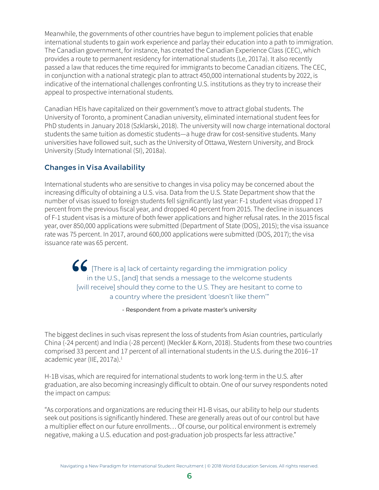<span id="page-12-0"></span>Meanwhile, the governments of other countries have begun to implement policies that enable international students to gain work experience and parlay their education into a path to immigration. The Canadian government, for instance, has created the Canadian Experience Class (CEC), which provides a route to permanent residency for international students (Le, 2017a). It also recently passed a law that reduces the time required for immigrants to become Canadian citizens. The CEC, in conjunction with a national strategic plan to attract 450,000 international students by 2022, is indicative of the international challenges confronting U.S. institutions as they try to increase their appeal to prospective international students.

Canadian HEIs have capitalized on their government's move to attract global students. The University of Toronto, a prominent Canadian university, eliminated international student fees for PhD students in January 2018 (Szklarski, 2018). The university will now charge international doctoral students the same tuition as domestic students—a huge draw for cost-sensitive students. Many universities have followed suit, such as the University of Ottawa, Western University, and Brock University (Study International (SI), 2018a).

### Changes in Visa Availability

International students who are sensitive to changes in visa policy may be concerned about the increasing difficulty of obtaining a U.S. visa. Data from the U.S. State Department show that the number of visas issued to foreign students fell significantly last year: F-1 student visas dropped 17 percent from the previous fiscal year, and dropped 40 percent from 2015. The decline in issuances of F-1 student visas is a mixture of both fewer applications and higher refusal rates. In the 2015 fiscal year, over 850,000 applications were submitted (Department of State (DOS), 2015); the visa issuance rate was 75 percent. In 2017, around 600,000 applications were submitted (DOS, 2017); the visa issuance rate was 65 percent.

**66** [There is a] lack of certainty regarding the immigration policy in the U.S., [and] that sends a message to the welcome students [will receive] should they come to the U.S. They are hesitant to come to a country where the president 'doesn't like them'"

- Respondent from a private master's university

The biggest declines in such visas represent the loss of students from Asian countries, particularly China (-24 percent) and India (-28 percent) (Meckler & Korn, 2018). Students from these two countries comprised 33 percent and 17 percent of all international students in the U.S. during the 2016–17 academic year (IIE, 2017a).<sup>1</sup>

H-1B visas, which are required for international students to work long-term in the U.S. after graduation, are also becoming increasingly difficult to obtain. One of our survey respondents noted the impact on campus:

"As corporations and organizations are reducing their H1-B visas, our ability to help our students seek out positions is significantly hindered. These are generally areas out of our control but have a multiplier effect on our future enrollments… Of course, our political environment is extremely negative, making a U.S. education and post-graduation job prospects far less attractive."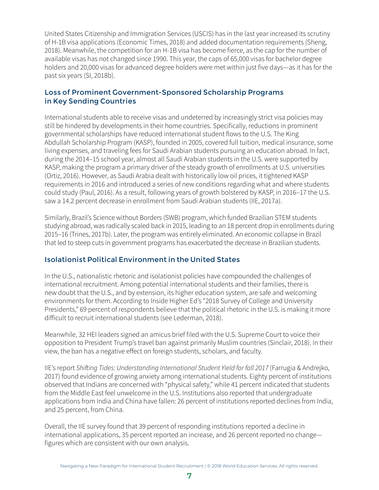<span id="page-13-0"></span>United States Citizenship and Immigration Services (USCIS) has in the last year increased its scrutiny of H-1B visa applications (Economic Times, 2018) and added documentation requirements (Sheng, 2018). Meanwhile, the competition for an H-1B visa has become fierce, as the cap for the number of available visas has not changed since 1990. This year, the caps of 65,000 visas for bachelor degree holders and 20,000 visas for advanced degree holders were met within just five days—as it has for the past six years (SI, 2018b).

### Loss of Prominent Government-Sponsored Scholarship Programs in Key Sending Countries

International students able to receive visas and undeterred by increasingly strict visa policies may still be hindered by developments in their home countries. Specifically, reductions in prominent governmental scholarships have reduced international student flows to the U.S. The King Abdullah Scholarship Program (KASP), founded in 2005, covered full tuition, medical insurance, some living expenses, and traveling fees for Saudi Arabian students pursuing an education abroad. In fact, during the 2014–15 school year, almost all Saudi Arabian students in the U.S. were supported by KASP, making the program a primary driver of the steady growth of enrollments at U.S. universities (Ortiz, 2016). However, as Saudi Arabia dealt with historically low oil prices, it tightened KASP requirements in 2016 and introduced a series of new conditions regarding what and where students could study (Paul, 2016). As a result, following years of growth bolstered by KASP, in 2016–17 the U.S. saw a 14.2 percent decrease in enrollment from Saudi Arabian students (IIE, 2017a).

Similarly, Brazil's Science without Borders (SWB) program, which funded Brazilian STEM students studying abroad, was radically scaled back in 2015, leading to an 18 percent drop in enrollments during 2015–16 (Trines, 2017b). Later, the program was entirely eliminated. An economic collapse in Brazil that led to steep cuts in government programs has exacerbated the decrease in Brazilian students.

### Isolationist Political Environment in the United States

In the U.S., nationalistic rhetoric and isolationist policies have compounded the challenges of international recruitment. Among potential international students and their families, there is new doubt that the U.S., and by extension, its higher education system, are safe and welcoming environments for them. According to Inside Higher Ed's "2018 Survey of College and University Presidents," 69 percent of respondents believe that the political rhetoric in the U.S. is making it more difficult to recruit international students (see Lederman, 2018).

Meanwhile, 32 HEI leaders signed an amicus brief filed with the U.S. Supreme Court to voice their opposition to President Trump's travel ban against primarily Muslim countries (Sinclair, 2018). In their view, the ban has a negative effect on foreign students, scholars, and faculty.

IIE's report Shifting Tides: Understanding International Student Yield for fall 2017 (Farrugia & Andrejko, 2017) found evidence of growing anxiety among international students. Eighty percent of institutions observed that Indians are concerned with "physical safety," while 41 percent indicated that students from the Middle East feel unwelcome in the U.S. Institutions also reported that undergraduate applications from India and China have fallen: 26 percent of institutions reported declines from India, and 25 percent, from China.

Overall, the IIE survey found that 39 percent of responding institutions reported a decline in international applications, 35 percent reported an increase, and 26 percent reported no change figures which are consistent with our own analysis.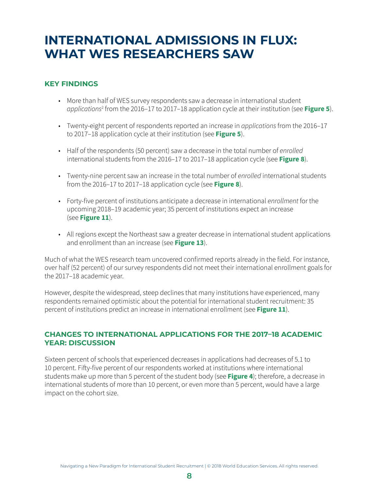### <span id="page-14-0"></span>**INTERNATIONAL ADMISSIONS IN FLUX: WHAT WES RESEARCHERS SAW**

### **KEY FINDINGS**

- More than half of WES survey respondents saw a decrease in international student *applications<sup>2</sup> fr*om the 2016–17 to 2017–18 application cycle at their institution (see [Figure 5](#page-15-1)).
- Twenty-eight percent of respondents reported an increase in applications from the 2016-17 to 2017–18 application cycle at their institution (see **[Figure 5](#page-15-1)**).
- Half of the respondents (50 percent) saw a decrease in the total number of enrolled international students from the 2016–17 to 2017–18 application cycle (see **[Figure 8](#page-18-1)**).
- Twenty-nine percent saw an increase in the total number of enrolled international students from the 2016–17 to 2017–18 application cycle (see **[Figure 8](#page-18-1)**).
- Forty-five percent of institutions anticipate a decrease in international enrollment for the upcoming 2018–19 academic year; 35 percent of institutions expect an increase (see **[Figure 11](#page-21-1)**).
- All regions except the Northeast saw a greater decrease in international student applications and enrollment than an increase (see **[Figure 13](#page-23-1)**).

Much of what the WES research team uncovered confirmed reports already in the field. For instance, over half (52 percent) of our survey respondents did not meet their international enrollment goals for the 2017–18 academic year.

However, despite the widespread, steep declines that many institutions have experienced, many respondents remained optimistic about the potential for international student recruitment: 35 percent of institutions predict an increase in international enrollment (see **[Figure 11](#page-21-1)**).

### **CHANGES TO INTERNATIONAL APPLICATIONS FOR THE 2017–18 ACADEMIC YEAR: DISCUSSION**

Sixteen percent of schools that experienced decreases in applications had decreases of 5.1 to 10 percent. Fifty-five percent of our respondents worked at institutions where international students make up more than 5 percent of the student body (see **[Figure 4](#page-10-1)**); therefore, a decrease in international students of more than 10 percent, or even more than 5 percent, would have a large impact on the cohort size.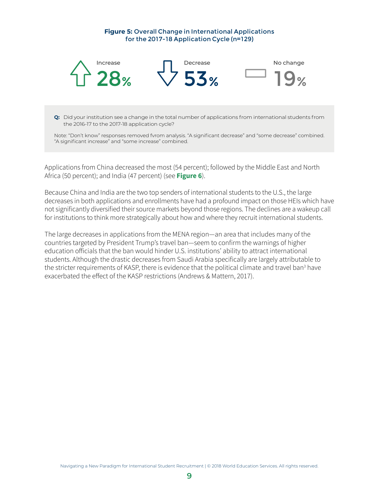#### <span id="page-15-1"></span>**Figure 5:** Overall Change in International Applications for the 2017-18 Application Cycle (n=129)

<span id="page-15-0"></span>

**Q:** Did your institution see a change in the total number of applications from international students from the 2016-17 to the 2017-18 application cycle?

Note: "Don't know" responses removed fvrom analysis. "A significant decrease" and "some decrease" combined. "A significant increase" and "some increase" combined.

Applications from China decreased the most (54 percent); followed by the Middle East and North Africa (50 percent); and India (47 percent) (see **[Figure 6](#page-16-1)**).

Because China and India are the two top senders of international students to the U.S., the large decreases in both applications and enrollments have had a profound impact on those HEIs which have not significantly diversified their source markets beyond those regions. The declines are a wakeup call for institutions to think more strategically about how and where they recruit international students.

The large decreases in applications from the MENA region—an area that includes many of the countries targeted by President Trump's travel ban—seem to confirm the warnings of higher education officials that the ban would hinder U.S. institutions' ability to attract international students. Although the drastic decreases from Saudi Arabia specifically are largely attributable to the stricter requirements of KASP, there is evidence that the political climate and travel ban<sup>3</sup> have exacerbated the effect of the KASP restrictions (Andrews & Mattern, 2017).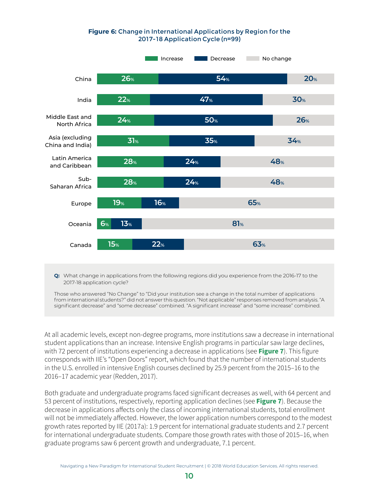#### <span id="page-16-1"></span>**Figure 6:** Change in International Applications by Region for the 2017-18 Application Cycle (n=99)

<span id="page-16-0"></span>

**Q:** What change in applications from the following regions did you experience from the 2016-17 to the 2017-18 application cycle?

Those who answered "No Change" to "Did your institution see a change in the total number of applications from international students?" did not answer this question. "Not applicable" responses removed from analysis. "A significant decrease" and "some decrease" combined. "A significant increase" and "some increase" combined.

At all academic levels, except non-degree programs, more institutions saw a decrease in international student applications than an increase. Intensive English programs in particular saw large declines, with 72 percent of institutions experiencing a decrease in applications (see **[Figure 7](#page-17-1)**). This figure corresponds with IIE's "Open Doors" report, which found that the number of international students in the U.S. enrolled in intensive English courses declined by 25.9 percent from the 2015–16 to the 2016–17 academic year (Redden, 2017).

Both graduate and undergraduate programs faced significant decreases as well, with 64 percent and 53 percent of institutions, respectively, reporting application declines (see **[Figure 7](#page-17-1)**). Because the decrease in applications affects only the class of incoming international students, total enrollment will not be immediately affected. However, the lower application numbers correspond to the modest growth rates reported by IIE (2017a): 1.9 percent for international graduate students and 2.7 percent for international undergraduate students. Compare those growth rates with those of 2015–16, when graduate programs saw 6 percent growth and undergraduate, 7.1 percent.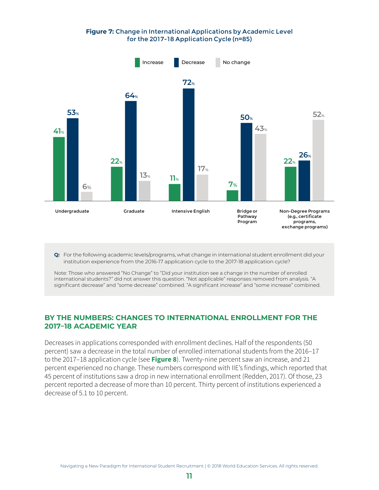#### <span id="page-17-1"></span>**Figure 7:** Change in International Applications by Academic Level for the 2017-18 Application Cycle (n=85)

<span id="page-17-0"></span>

**Q:** For the following academic levels/programs, what change in international student enrollment did your institution experience from the 2016-17 application cycle to the 2017-18 application cycle?

Note: Those who answered "No Change" to "Did your institution see a change in the number of enrolled international students?" did not answer this question. "Not applicable" responses removed from analysis. "A significant decrease" and "some decrease" combined. "A significant increase" and "some increase" combined.

### **BY THE NUMBERS: CHANGES TO INTERNATIONAL ENROLLMENT FOR THE 2017–18 ACADEMIC YEAR**

Decreases in applications corresponded with enrollment declines. Half of the respondents (50 percent) saw a decrease in the total number of enrolled international students from the 2016–17 to the 2017–18 application cycle (see **[Figure 8](#page-18-1)**). Twenty-nine percent saw an increase, and 21 percent experienced no change. These numbers correspond with IIE's findings, which reported that 45 percent of institutions saw a drop in new international enrollment (Redden, 2017). Of those, 23 percent reported a decrease of more than 10 percent. Thirty percent of institutions experienced a decrease of 5.1 to 10 percent.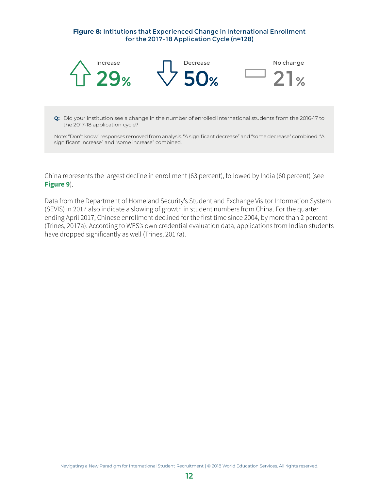#### <span id="page-18-1"></span>**Figure 8:** Intitutions that Experienced Change in International Enrollment for the 2017-18 Application Cycle (n=128)

<span id="page-18-0"></span>

**Q:** Did your institution see a change in the number of enrolled international students from the 2016-17 to the 2017-18 application cycle?

Note: "Don't know" responses removed from analysis. "A significant decrease" and "some decrease" combined. "A significant increase" and "some increase" combined.

China represents the largest decline in enrollment (63 percent), followed by India (60 percent) (see **[Figure 9](#page-19-0)**).

Data from the Department of Homeland Security's Student and Exchange Visitor Information System (SEVIS) in 2017 also indicate a slowing of growth in student numbers from China. For the quarter ending April 2017, Chinese enrollment declined for the first time since 2004, by more than 2 percent (Trines, 2017a). According to WES's own credential evaluation data, applications from Indian students have dropped significantly as well (Trines, 2017a).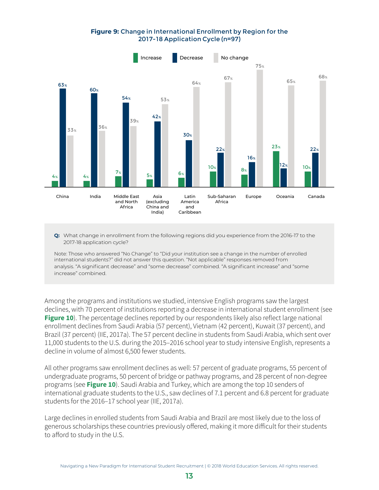#### **Figure 9:** Change in International Enrollment by Region for the 2017-18 Application Cycle (n=97)

<span id="page-19-0"></span>

**Q:** What change in enrollment from the following regions did you experience from the 2016-17 to the 2017-18 application cycle?

Note: Those who answered "No Change" to "Did your institution see a change in the number of enrolled international students?" did not answer this question. "Not applicable" responses removed from analysis. "A significant decrease" and "some decrease" combined. "A significant increase" and "some increase" combined.

Among the programs and institutions we studied, intensive English programs saw the largest declines, with 70 percent of institutions reporting a decrease in international student enrollment (see **[Figure 10](#page-20-1)**). The percentage declines reported by our respondents likely also reflect large national enrollment declines from Saudi Arabia (57 percent), Vietnam (42 percent), Kuwait (37 percent), and Brazil (37 percent) (IIE, 2017a). The 57 percent decline in students from Saudi Arabia, which sent over 11,000 students to the U.S. during the 2015–2016 school year to study intensive English, represents a decline in volume of almost 6,500 fewer students.

All other programs saw enrollment declines as well: 57 percent of graduate programs, 55 percent of undergraduate programs, 50 percent of bridge or pathway programs, and 28 percent of non-degree programs (see **[Figure 10](#page-20-1)**). Saudi Arabia and Turkey, which are among the top 10 senders of international graduate students to the U.S., saw declines of 7.1 percent and 6.8 percent for graduate students for the 2016–17 school year (IIE, 2017a).

Large declines in enrolled students from Saudi Arabia and Brazil are most likely due to the loss of generous scholarships these countries previously offered, making it more difficult for their students to afford to study in the U.S.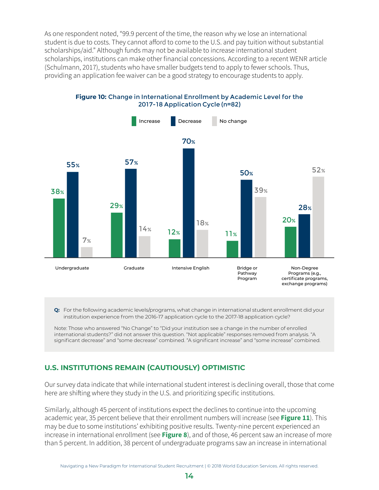<span id="page-20-0"></span>As one respondent noted, "99.9 percent of the time, the reason why we lose an international student is due to costs. They cannot afford to come to the U.S. and pay tuition without substantial scholarships/aid." Although funds may not be available to increase international student scholarships, institutions can make other financial concessions. According to a recent WENR article (Schulmann, 2017), students who have smaller budgets tend to apply to fewer schools. Thus, providing an application fee waiver can be a good strategy to encourage students to apply.

Increase Decrease No change 38+557+ 29+5714+ 12+7018+ 11+50+39+ 20+2852 Undergraduate 38% 55% 7% Graduate 29% 57% 14% Intensive English 12% 70% 18% Bridge or Pathway Program 11% 50% 39% Non-Degree Programs (e.g., certificate programs, exchange programs) 20% 28% 52%

<span id="page-20-1"></span>**Figure 10:** Change in International Enrollment by Academic Level for the 2017-18 Application Cycle (n=82)

**Q:** For the following academic levels/programs, what change in international student enrollment did your institution experience from the 2016-17 application cycle to the 2017-18 application cycle?

Note: Those who answered "No Change" to "Did your institution see a change in the number of enrolled international students?" did not answer this question. "Not applicable" responses removed from analysis. "A significant decrease" and "some decrease" combined. "A significant increase" and "some increase" combined.

### **U.S. INSTITUTIONS REMAIN (CAUTIOUSLY) OPTIMISTIC**

Our survey data indicate that while international student interest is declining overall, those that come here are shifting where they study in the U.S. and prioritizing specific institutions.

Similarly, although 45 percent of institutions expect the declines to continue into the upcoming academic year, 35 percent believe that their enrollment numbers will increase (see **[Figure 11](#page-21-1)**). This may be due to some institutions' exhibiting positive results. Twenty-nine percent experienced an increase in international enrollment (see **[Figure 8](#page-18-1)**), and of those, 46 percent saw an increase of more than 5 percent. In addition, 38 percent of undergraduate programs saw an increase in international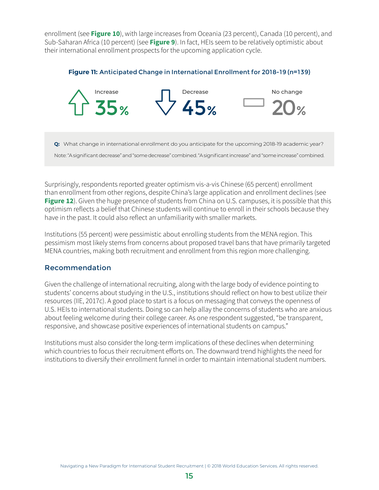<span id="page-21-0"></span>enrollment (see **[Figure 10](#page-20-1)**), with large increases from Oceania (23 percent), Canada (10 percent), and Sub-Saharan Africa (10 percent) (see **Figure 9**). In fact, HEIs seem to be relatively optimistic about their international enrollment prospects for the upcoming application cycle.

<span id="page-21-1"></span>



**Q:** What change in international enrollment do you anticipate for the upcoming 2018-19 academic year?

Note: "A significant decrease" and "some decrease" combined. "A significant increase" and "some increase" combined.

Surprisingly, respondents reported greater optimism vis-a-vis Chinese (65 percent) enrollment than enrollment from other regions, despite China's large application and enrollment declines (see **[Figure 12](#page-22-1)**). Given the huge presence of students from China on U.S. campuses, it is possible that this optimism reflects a belief that Chinese students will continue to enroll in their schools because they have in the past. It could also reflect an unfamiliarity with smaller markets.

Institutions (55 percent) were pessimistic about enrolling students from the MENA region. This pessimism most likely stems from concerns about proposed travel bans that have primarily targeted MENA countries, making both recruitment and enrollment from this region more challenging.

### Recommendation

Given the challenge of international recruiting, along with the large body of evidence pointing to students' concerns about studying in the U.S., institutions should reflect on how to best utilize their resources (IIE, 2017c). A good place to start is a focus on messaging that conveys the openness of U.S. HEIs to international students. Doing so can help allay the concerns of students who are anxious about feeling welcome during their college career. As one respondent suggested, "be transparent, responsive, and showcase positive experiences of international students on campus."

Institutions must also consider the long-term implications of these declines when determining which countries to focus their recruitment efforts on. The downward trend highlights the need for institutions to diversify their enrollment funnel in order to maintain international student numbers.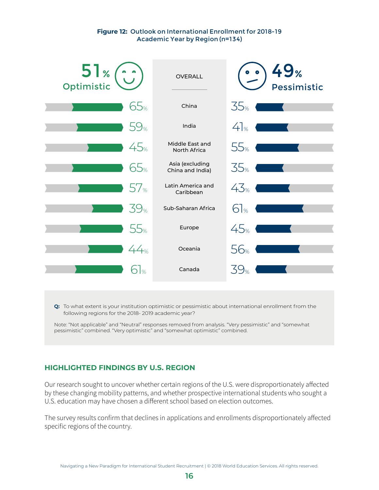#### <span id="page-22-1"></span>**Figure 12:** Outlook on International Enrollment for 2018-19 Academic Year by Region (n=134)

<span id="page-22-0"></span>

**Q:** To what extent is your institution optimistic or pessimistic about international enrollment from the following regions for the 2018- 2019 academic year?

Note: "Not applicable" and "Neutral" responses removed from analysis. "Very pessimistic" and "somewhat pessimistic" combined. "Very optimistic" and "somewhat optimistic" combined.

### **HIGHLIGHTED FINDINGS BY U.S. REGION**

Our research sought to uncover whether certain regions of the U.S. were disproportionately affected by these changing mobility patterns, and whether prospective international students who sought a U.S. education may have chosen a different school based on election outcomes.

The survey results confirm that declines in applications and enrollments disproportionately affected specific regions of the country.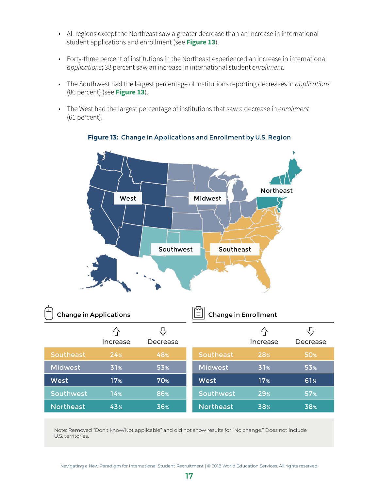- <span id="page-23-0"></span>• All regions except the Northeast saw a greater decrease than an increase in international student applications and enrollment (see **[Figure 13](#page-23-1)**).
- Forty-three percent of institutions in the Northeast experienced an increase in international applications; 38 percent saw an increase in international student enrollment.
- The Southwest had the largest percentage of institutions reporting decreases in applications (86 percent) (see **[Figure 13](#page-23-1)**).
- The West had the largest percentage of institutions that saw a decrease in enrollment (61 percent).



### <span id="page-23-1"></span>**Figure 13:** Change in Applications and Enrollment by U.S. Region

| <b>Change in Applications</b> |                 |                 |                  | <b>Change in Enrollment</b> |                 |
|-------------------------------|-----------------|-----------------|------------------|-----------------------------|-----------------|
|                               | ናት<br>Increase  | Decrease        |                  | ብ<br>Increase               | Decrease        |
| Southeast                     | 24%             | 48%             | <b>Southeast</b> | 28%                         | 50%             |
| Midwest                       | 31%             | 53 <sub>%</sub> | <b>Midwest</b>   | 31%                         | 53 <sub>%</sub> |
| West                          | 17 <sub>%</sub> | 70%             | West             | 17 <sub>%</sub>             | 61%             |
| Southwest                     | 14%             | 86%             | Southwest        | 29%                         | 57 <sub>%</sub> |
| <b>Northeast</b>              | 43%             | 36%             | <b>Northeast</b> | 38%                         | 38%             |

Note: Removed "Don't know/Not applicable" and did not show results for "No change." Does not include U.S. territories.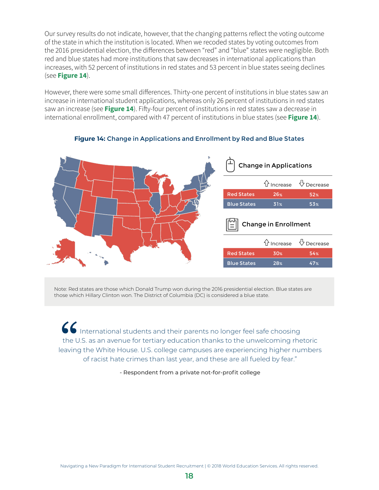<span id="page-24-0"></span>Our survey results do not indicate, however, that the changing patterns reflect the voting outcome of the state in which the institution is located. When we recoded states by voting outcomes from the 2016 presidential election, the differences between "red" and "blue" states were negligible. Both red and blue states had more institutions that saw decreases in international applications than increases, with 52 percent of institutions in red states and 53 percent in blue states seeing declines (see **[Figure 14](#page-24-1)**).

However, there were some small differences. Thirty-one percent of institutions in blue states saw an increase in international student applications, whereas only 26 percent of institutions in red states saw an increase (see **[Figure 14](#page-24-1)**). Fifty-four percent of institutions in red states saw a decrease in international enrollment, compared with 47 percent of institutions in blue states (see **[Figure 14](#page-24-1)**).



#### <span id="page-24-1"></span>**Figure 14:** Change in Applications and Enrollment by Red and Blue States

Note: Red states are those which Donald Trump won during the 2016 presidential election. Blue states are those which Hillary Clinton won. The District of Columbia (DC) is considered a blue state.

International students and their parents no longer feel safe choosing the U.S. as an avenue for tertiary education thanks to the unwelcoming rhetoric leaving the White House. U.S. college campuses are experiencing higher numbers of racist hate crimes than last year, and these are all fueled by fear."

- Respondent from a private not-for-profit college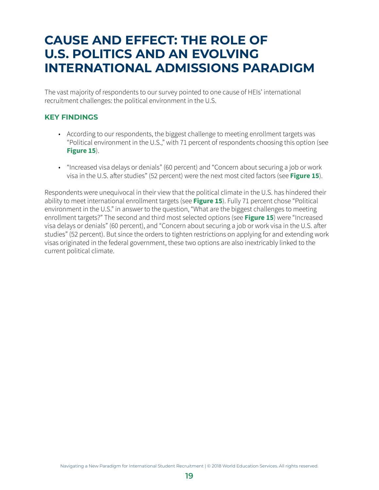### <span id="page-25-0"></span>**CAUSE AND EFFECT: THE ROLE OF U.S. POLITICS AND AN EVOLVING INTERNATIONAL ADMISSIONS PARADIGM**

The vast majority of respondents to our survey pointed to one cause of HEIs' international recruitment challenges: the political environment in the U.S.

### **KEY FINDINGS**

- According to our respondents, the biggest challenge to meeting enrollment targets was "Political environment in the U.S.," with 71 percent of respondents choosing this option (see **[Figure 15](#page-26-1)**).
- "Increased visa delays or denials" (60 percent) and "Concern about securing a job or work visa in the U.S. after studies" (52 percent) were the next most cited factors (see **[Figure 15](#page-26-1)**).

Respondents were unequivocal in their view that the political climate in the U.S. has hindered their ability to meet international enrollment targets (see **[Figure 15](#page-26-1)**). Fully 71 percent chose "Political environment in the U.S." in answer to the question, "What are the biggest challenges to meeting enrollment targets?" The second and third most selected options (see **[Figure 15](#page-26-1)**) were "Increased visa delays or denials" (60 percent), and "Concern about securing a job or work visa in the U.S. after studies" (52 percent). But since the orders to tighten restrictions on applying for and extending work visas originated in the federal government, these two options are also inextricably linked to the current political climate.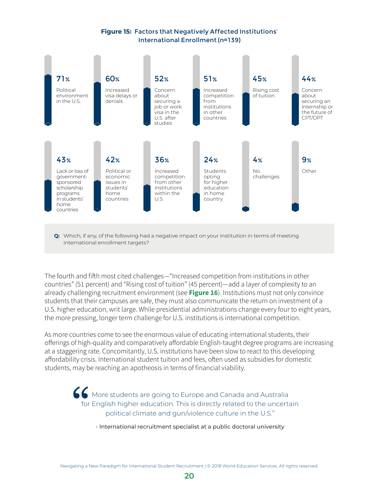### <span id="page-26-1"></span>**Figure 15:** Factors that Negatively Affected Institutions' International Enrollment (n=139)

<span id="page-26-0"></span>

**Q:** Which, if any, of the following had a negative impact on your institution in terms of meeting international enrollment targets?

The fourth and fifth most cited challenges—"Increased competition from institutions in other countries" (51 percent) and "Rising cost of tuition" (45 percent)—add a layer of complexity to an already challenging recruitment environment (see **[Figure 16](#page-28-1)**). Institutions must not only convince students that their campuses are safe, they must also communicate the return on investment of a U.S. higher education, writ large. While presidential administrations change every four to eight years, the more pressing, longer term challenge for U.S. institutions is international competition.

As more countries come to see the enormous value of educating international students, their offerings of high-quality and comparatively affordable English-taught degree programs are increasing at a staggering rate. Concomitantly, U.S. institutions have been slow to react to this developing affordability crisis. International student tuition and fees, often used as subsidies for domestic students, may be reaching an apotheosis in terms of financial viability.

> More students are going to Europe and Canada and Australia for English higher education. This is directly related to the uncertain political climate and gun/violence culture in the U.S."

- International recruitment specialist at a public doctoral university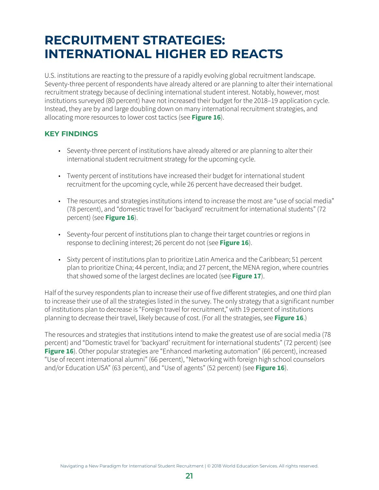### <span id="page-27-0"></span>**RECRUITMENT STRATEGIES: INTERNATIONAL HIGHER ED REACTS**

U.S. institutions are reacting to the pressure of a rapidly evolving global recruitment landscape. Seventy-three percent of respondents have already altered or are planning to alter their international recruitment strategy because of declining international student interest. Notably, however, most institutions surveyed (80 percent) have not increased their budget for the 2018–19 application cycle. Instead, they are by and large doubling down on many international recruitment strategies, and allocating more resources to lower cost tactics (see **[Figure 16](#page-28-1)**).

### **KEY FINDINGS**

- Seventy-three percent of institutions have already altered or are planning to alter their international student recruitment strategy for the upcoming cycle.
- Twenty percent of institutions have increased their budget for international student recruitment for the upcoming cycle, while 26 percent have decreased their budget.
- The resources and strategies institutions intend to increase the most are "use of social media" (78 percent), and "domestic travel for 'backyard' recruitment for international students" (72 percent) (see **[Figure 16](#page-28-1)**).
- Seventy-four percent of institutions plan to change their target countries or regions in response to declining interest; 26 percent do not (see **[Figure 16](#page-28-1)**).
- Sixty percent of institutions plan to prioritize Latin America and the Caribbean; 51 percent plan to prioritize China; 44 percent, India; and 27 percent, the MENA region, where countries that showed some of the largest declines are located (see **[Figure 17](#page-29-1)**).

Half of the survey respondents plan to increase their use of five different strategies, and one third plan to increase their use of all the strategies listed in the survey. The only strategy that a significant number of institutions plan to decrease is "Foreign travel for recruitment," with 19 percent of institutions planning to decrease their travel, likely because of cost. (For all the strategies, see **[Figure 16](#page-47-1)**.)

The resources and strategies that institutions intend to make the greatest use of are social media (78 percent) and "Domestic travel for 'backyard' recruitment for international students" (72 percent) (see **[Figure 16](#page-28-0)**). Other popular strategies are "Enhanced marketing automation" (66 percent), increased "Use of recent international alumni" (66 percent), "Networking with foreign high school counselors and/or Education USA" (63 percent), and "Use of agents" (52 percent) (see **[Figure 16](#page-28-0)**).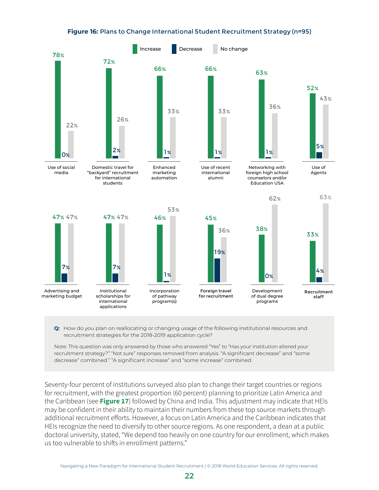#### <span id="page-28-1"></span>**Figure 16:** Plans to Change International Student Recruitment Strategy (n=95)

<span id="page-28-0"></span>

**Q:** How do you plan on reallocating or changing usage of the following institutional resources and recruitment strategies for the 2018-2019 application cycle?

Note: This question was only answered by those who answered "Yes" to "Has your institution altered your recruitment strategy?" "Not sure" responses removed from analysis. "A significant decrease" and "some decrease" combined." "A significant increase" and "some increase" combined.

Seventy-four percent of institutions surveyed also plan to change their target countries or regions for recruitment, with the greatest proportion (60 percent) planning to prioritize Latin America and the Caribbean (see **[Figure 17](#page-29-1)**) followed by China and India. This adjustment may indicate that HEIs may be confident in their ability to maintain their numbers from these top source markets through additional recruitment efforts. However, a focus on Latin America and the Caribbean indicates that HEIs recognize the need to diversify to other source regions. As one respondent, a dean at a public doctoral university, stated, "We depend too heavily on one country for our enrollment, which makes us too vulnerable to shifts in enrollment patterns."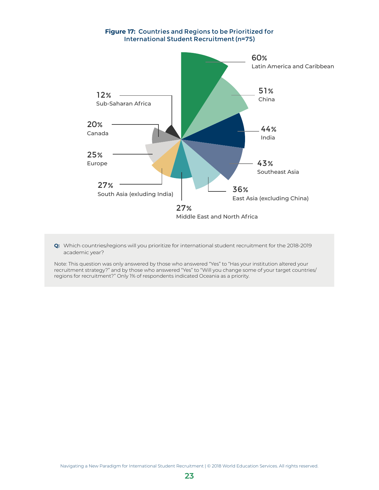<span id="page-29-1"></span><span id="page-29-0"></span>

**Q:** Which countries/regions will you prioritize for international student recruitment for the 2018-2019 academic year?

Note: This question was only answered by those who answered "Yes" to "Has your institution altered your recruitment strategy?" and by those who answered "Yes" to "Will you change some of your target countries/ regions for recruitment?" Only 1% of respondents indicated Oceania as a priority.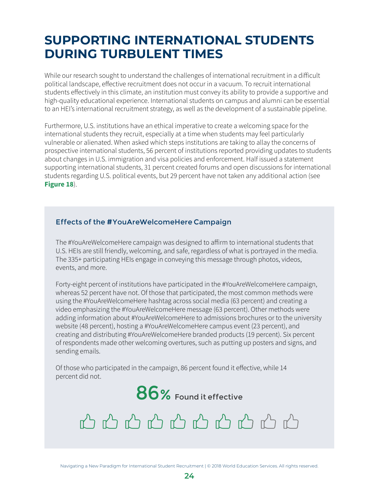### <span id="page-30-0"></span>**SUPPORTING INTERNATIONAL STUDENTS DURING TURBULENT TIMES**

While our research sought to understand the challenges of international recruitment in a difficult political landscape, effective recruitment does not occur in a vacuum. To recruit international students effectively in this climate, an institution must convey its ability to provide a supportive and high-quality educational experience. International students on campus and alumni can be essential to an HEI's international recruitment strategy, as well as the development of a sustainable pipeline.

Furthermore, U.S. institutions have an ethical imperative to create a welcoming space for the international students they recruit, especially at a time when students may feel particularly vulnerable or alienated. When asked which steps institutions are taking to allay the concerns of prospective international students, 56 percent of institutions reported providing updates to students about changes in U.S. immigration and visa policies and enforcement. Half issued a statement supporting international students, 31 percent created forums and open discussions for international students regarding U.S. political events, but 29 percent have not taken any additional action (see **[Figure 18](#page-31-1)**).

### Effects of the #YouAreWelcomeHere Campaign

The #YouAreWelcomeHere campaign was designed to affirm to international students that U.S. HEIs are still friendly, welcoming, and safe, regardless of what is portrayed in the media. The 335+ participating HEIs engage in conveying this message through photos, videos, events, and more.

Forty-eight percent of institutions have participated in the #YouAreWelcomeHere campaign, whereas 52 percent have not. Of those that participated, the most common methods were using the #YouAreWelcomeHere hashtag across social media (63 percent) and creating a video emphasizing the #YouAreWelcomeHere message (63 percent). Other methods were adding information about #YouAreWelcomeHere to admissions brochures or to the university website (48 percent), hosting a #YouAreWelcomeHere campus event (23 percent), and creating and distributing #YouAreWelcomeHere branded products (19 percent). Six percent of respondents made other welcoming overtures, such as putting up posters and signs, and sending emails.

Of those who participated in the campaign, 86 percent found it effective, while 14 percent did not.



## 心心心心心心心心心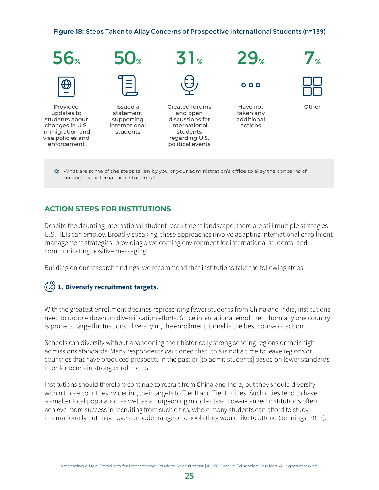<span id="page-31-1"></span><span id="page-31-0"></span>**Figure 18:** Steps Taken to Allay Concerns of Prospective International Students (n=139)



**Q:** What are some of the steps taken by you or your administration's office to allay the concerns of prospective international students?

### **ACTION STEPS FOR INSTITUTIONS**

Despite the daunting international student recruitment landscape, there are still multiple strategies U.S. HEIs can employ. Broadly speaking, these approaches involve adapting international enrollment management strategies, providing a welcoming environment for international students, and communicating positive messaging.

Building on our research findings, we recommend that institutions take the following steps:

### **1. Diversify recruitment targets.**

With the greatest enrollment declines representing fewer students from China and India, institutions need to double down on diversification efforts. Since international enrollment from any one country is prone to large fluctuations, diversifying the enrollment funnel is the best course of action.

Schools can diversify without abandoning their historically strong sending regions or their high admissions standards. Many respondents cautioned that "this is not a time to leave regions or countries that have produced prospects in the past or [to admit students] based on lower standards in order to retain strong enrollments."

Institutions should therefore continue to recruit from China and India, but they should diversify within those countries, widening their targets to Tier II and Tier III cities. Such cities tend to have a smaller total population as well as a burgeoning middle class. Lower-ranked institutions often achieve more success in recruiting from such cities, where many students can afford to study internationally but may have a broader range of schools they would like to attend (Jennings, 2017).

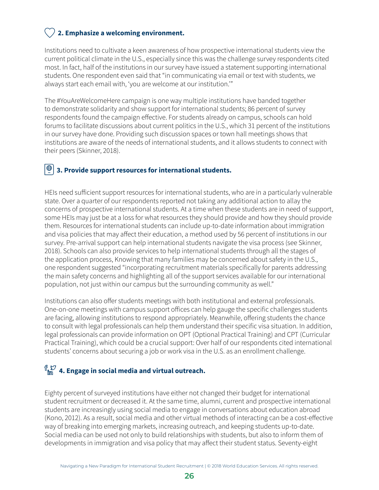### **2. Emphasize a welcoming environment.**

Institutions need to cultivate a keen awareness of how prospective international students view the current political climate in the U.S., especially since this was the challenge survey respondents cited most. In fact, half of the institutions in our survey have issued a statement supporting international students. One respondent even said that "in communicating via email or text with students, we always start each email with, 'you are welcome at our institution.'"

The #YouAreWelcomeHere campaign is one way multiple institutions have banded together to demonstrate solidarity and show support for international students; 86 percent of survey respondents found the campaign effective. For students already on campus, schools can hold forums to facilitate discussions about current politics in the U.S., which 31 percent of the institutions in our survey have done. Providing such discussion spaces or town hall meetings shows that institutions are aware of the needs of international students, and it allows students to connect with their peers (Skinner, 2018).

#### $|\oplus$  **3. Provide support resources for international students.**

HEIs need sufficient support resources for international students, who are in a particularly vulnerable state. Over a quarter of our respondents reported not taking any additional action to allay the concerns of prospective international students. At a time when these students are in need of support, some HEIs may just be at a loss for what resources they should provide and how they should provide them. Resources for international students can include up-to-date information about immigration and visa policies that may affect their education, a method used by 56 percent of institutions in our survey. Pre-arrival support can help international students navigate the visa process (see Skinner, 2018). Schools can also provide services to help international students through all the stages of the application process, Knowing that many families may be concerned about safety in the U.S., one respondent suggested "incorporating recruitment materials specifically for parents addressing the main safety concerns and highlighting all of the support services available for our international population, not just within our campus but the surrounding community as well."

Institutions can also offer students meetings with both institutional and external professionals. One-on-one meetings with campus support offices can help gauge the specific challenges students are facing, allowing institutions to respond appropriately. Meanwhile, offering students the chance to consult with legal professionals can help them understand their specific visa situation. In addition, legal professionals can provide information on OPT (Optional Practical Training) and CPT (Curricular Practical Training), which could be a crucial support: Over half of our respondents cited international students' concerns about securing a job or work visa in the U.S. as an enrollment challenge.

### **4. Engage in social media and virtual outreach.**

Eighty percent of surveyed institutions have either not changed their budget for international student recruitment or decreased it. At the same time, alumni, current and prospective international students are increasingly using social media to engage in conversations about education abroad (Kono, 2012). As a result, social media and other virtual methods of interacting can be a cost-effective way of breaking into emerging markets, increasing outreach, and keeping students up-to-date. Social media can be used not only to build relationships with students, but also to inform them of developments in immigration and visa policy that may affect their student status. Seventy-eight

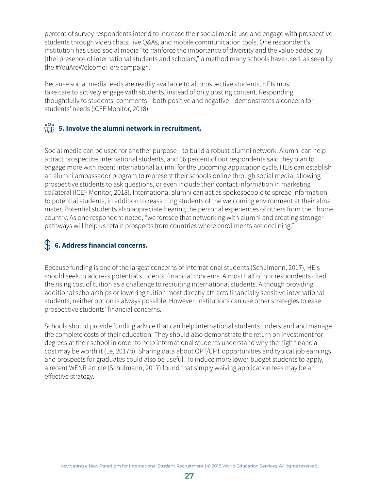percent of survey respondents intend to increase their social media use and engage with prospective students through video chats, live Q&As, and mobile communication tools. One respondent's institution has used social media "to reinforce the importance of diversity and the value added by [the] presence of international students and scholars," a method many schools have used, as seen by the #YouAreWelcomeHere campaign.

Because social media feeds are readily available to all prospective students, HEIs must take care to actively engage with students, instead of only posting content. Responding thoughtfully to students' comments—both positive and negative—demonstrates a concern for students' needs (ICEF Monitor, 2018).

### $\frac{{}^{000}}{\sqrt{h}}$  5. Involve the alumni network in recruitment.

Social media can be used for another purpose—to build a robust alumni network. Alumni can help attract prospective international students, and 66 percent of our respondents said they plan to engage more with recent international alumni for the upcoming application cycle. HEIs can establish an alumni ambassador program to represent their schools online through social media, allowing prospective students to ask questions, or even include their contact information in marketing collateral (ICEF Monitor, 2018). International alumni can act as spokespeople to spread information to potential students, in addition to reassuring students of the welcoming environment at their alma mater. Potential students also appreciate hearing the personal experiences of others from their home country. As one respondent noted, "we foresee that networking with alumni and creating stronger pathways will help us retain prospects from countries where enrollments are declining."

### **6. Address financial concerns.**

Because funding is one of the largest concerns of international students (Schulmann, 2017), HEIs should seek to address potential students' financial concerns. Almost half of our respondents cited the rising cost of tuition as a challenge to recruiting international students. Although providing additional scholarships or lowering tuition most directly attracts financially sensitive international students, neither option is always possible. However, institutions can use other strategies to ease prospective students' financial concerns.

Schools should provide funding advice that can help international students understand and manage the complete costs of their education. They should also demonstrate the return on investment for degrees at their school in order to help international students understand why the high financial cost may be worth it (Le, 2017b). Sharing data about OPT/CPT opportunities and typical job earnings and prospects for graduates could also be useful. To induce more lower-budget students to apply, a recent WENR article (Schulmann, 2017) found that simply waiving application fees may be an effective strategy.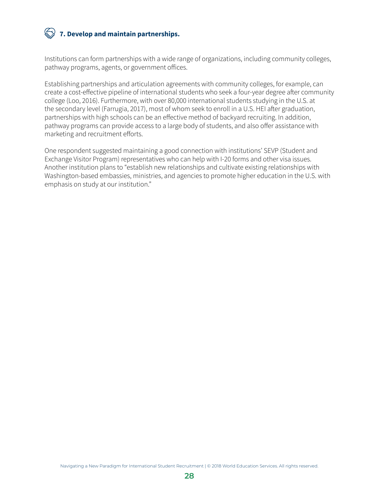### **7. Develop and maintain partnerships.**

Institutions can form partnerships with a wide range of organizations, including community colleges, pathway programs, agents, or government offices.

Establishing partnerships and articulation agreements with community colleges, for example, can create a cost-effective pipeline of international students who seek a four-year degree after community college (Loo, 2016). Furthermore, with over 80,000 international students studying in the U.S. at the secondary level (Farrugia, 2017), most of whom seek to enroll in a U.S. HEI after graduation, partnerships with high schools can be an effective method of backyard recruiting. In addition, pathway programs can provide access to a large body of students, and also offer assistance with marketing and recruitment efforts.

One respondent suggested maintaining a good connection with institutions' SEVP (Student and Exchange Visitor Program) representatives who can help with I-20 forms and other visa issues. Another institution plans to "establish new relationships and cultivate existing relationships with Washington-based embassies, ministries, and agencies to promote higher education in the U.S. with emphasis on study at our institution."

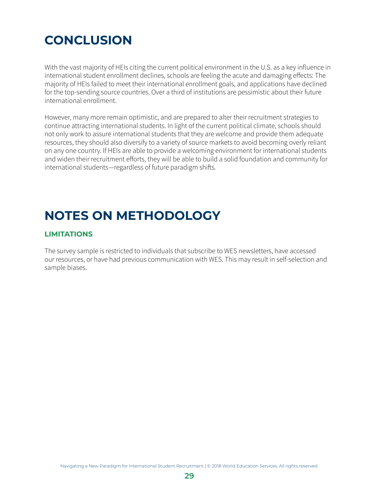### <span id="page-35-0"></span>**CONCLUSION**

With the vast majority of HEIs citing the current political environment in the U.S. as a key influence in international student enrollment declines, schools are feeling the acute and damaging effects: The majority of HEIs failed to meet their international enrollment goals, and applications have declined for the top-sending source countries. Over a third of institutions are pessimistic about their future international enrollment.

However, many more remain optimistic, and are prepared to alter their recruitment strategies to continue attracting international students. In light of the current political climate, schools should not only work to assure international students that they are welcome and provide them adequate resources, they should also diversify to a variety of source markets to avoid becoming overly reliant on any one country. If HEIs are able to provide a welcoming environment for international students and widen their recruitment efforts, they will be able to build a solid foundation and community for international students—regardless of future paradigm shifts.

### **NOTES ON METHODOLOGY**

### **LIMITATIONS**

The survey sample is restricted to individuals that subscribe to WES newsletters, have accessed our resources, or have had previous communication with WES. This may result in self-selection and sample biases.

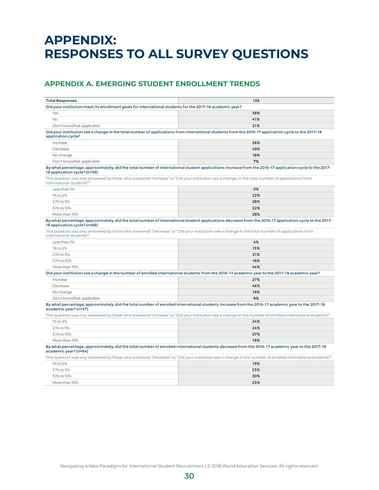### <span id="page-36-0"></span>**APPENDIX: RESPONSES TO ALL SURVEY QUESTIONS**

### **APPENDIX A. EMERGING STUDENT ENROLLMENT TRENDS**

| <b>Total Responses</b>                                                                                   | 139                                                                                                                                                        |
|----------------------------------------------------------------------------------------------------------|------------------------------------------------------------------------------------------------------------------------------------------------------------|
| Did your institution meet its enrollment goals for international students for the 2017-18 academic year? |                                                                                                                                                            |
| Yes                                                                                                      | 38%                                                                                                                                                        |
| No                                                                                                       | 41%                                                                                                                                                        |
| Don't know/Not applicable                                                                                | 21%                                                                                                                                                        |
| application cycle?                                                                                       | Did your institution see a change in the total number of applications from international students from the 2016-17 application cycle to the 2017-18        |
| Increase                                                                                                 | 26%                                                                                                                                                        |
| Decrease                                                                                                 | 49%                                                                                                                                                        |
| No change                                                                                                | 18%                                                                                                                                                        |
| Don't know/Not applicable                                                                                | 7%                                                                                                                                                         |
| 18 application cycle? (n=36)                                                                             | By what percentage, approximately, did the total number of international student applications increase from the 2016-17 application cycle to the 2017-     |
| international students?"                                                                                 | This question was only answered by those who answered "Increase" to "Did your institution see a change in the total number of applications from            |
| Less than 1%                                                                                             | 0%                                                                                                                                                         |
| 1% to 2%                                                                                                 | 22%                                                                                                                                                        |
| 2.1% to 5%                                                                                               | 28%                                                                                                                                                        |
| 5.1% to 10%                                                                                              | 22%                                                                                                                                                        |
| More than 10%                                                                                            | 28%                                                                                                                                                        |
| 18 application cycle? (n=68)                                                                             | By what percentage, approximately, did the total number of international student applications decrease from the 2016-17 application cycle to the 2017-     |
| international students?"                                                                                 | This question was only answered by those who answered "Decrease" to "Did your institution see a change in the total number of applications from            |
| Less than 1%                                                                                             | 4%                                                                                                                                                         |
| 1% to 2%                                                                                                 | 15%                                                                                                                                                        |
| 2.1% to 5%                                                                                               | 21%                                                                                                                                                        |
| 5.1% to 10%                                                                                              | 16%                                                                                                                                                        |
| More than 10%                                                                                            | 44%                                                                                                                                                        |
|                                                                                                          | Did your institution see a change in the number of enrolled international students from the 2016-17 academic year to the 2017-18 academic year?            |
| Increase                                                                                                 | 27%                                                                                                                                                        |
| Decrease                                                                                                 | 46%                                                                                                                                                        |
| No change                                                                                                | 19%                                                                                                                                                        |
| Don't know/Not applicable                                                                                | 8%                                                                                                                                                         |
| academic year? (n=37)                                                                                    | By what percentage, approximately, did the total number of enrolled international students increase from the 2016-17 academic year to the 2017-18          |
|                                                                                                          | This question was only answered by those who answered "Increase" to "Did your institution see a change in the number of enrolled international students?'  |
| 1% to 2%                                                                                                 | 24%                                                                                                                                                        |
| 2.1% to 5%                                                                                               | 24%                                                                                                                                                        |
| 5.1% to 10%                                                                                              | 27%                                                                                                                                                        |
| More than 10%                                                                                            | 19%                                                                                                                                                        |
| academic year? (n=64)                                                                                    | By what percentage, approximately, did the total number of enrolled international students decrease from the 2016-17 academic year to the 2017-18          |
|                                                                                                          | "This question was only answered by those who answered "Decrease" to "Did your institution see a change in the number of enrolled international students?" |
| 1% to 2%                                                                                                 | 19%                                                                                                                                                        |
| 2.1% to 5%                                                                                               | 23%                                                                                                                                                        |
| 5.1% to 10%                                                                                              | 30%                                                                                                                                                        |
| More than 10%                                                                                            | 23%                                                                                                                                                        |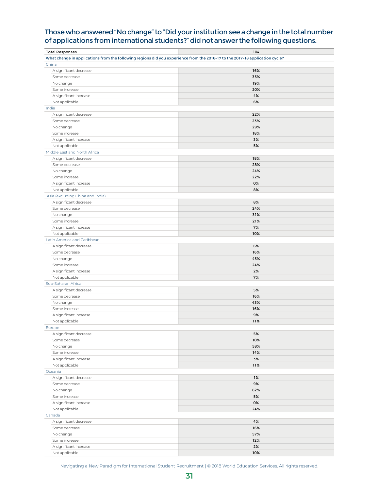### Those who answered "No change" to "Did your institution see a change in the total number of applications from international students?" did not answer the following questions.

| <b>Total Responses</b>                                                                                                       | 104 |
|------------------------------------------------------------------------------------------------------------------------------|-----|
| What change in applications from the following regions did you experience from the 2016-17 to the 2017-18 application cycle? |     |
| China                                                                                                                        |     |
| A significant decrease                                                                                                       | 16% |
| Some decrease                                                                                                                | 35% |
| No change                                                                                                                    | 19% |
| Some increase                                                                                                                | 20% |
| A significant increase                                                                                                       | 4%  |
| Not applicable                                                                                                               | 6%  |
| India                                                                                                                        |     |
| A significant decrease                                                                                                       | 22% |
| Some decrease                                                                                                                | 23% |
| No change                                                                                                                    | 29% |
| Some increase                                                                                                                | 18% |
| A significant increase                                                                                                       | 3%  |
| Not applicable                                                                                                               | 5%  |
| Middle East and North Africa                                                                                                 |     |
| A significant decrease                                                                                                       | 18% |
| Some decrease                                                                                                                | 28% |
| No change                                                                                                                    | 24% |
| Some increase                                                                                                                | 22% |
| A significant increase                                                                                                       | 0%  |
| Not applicable                                                                                                               | 8%  |
| Asia (excluding China and India)                                                                                             |     |
| A significant decrease                                                                                                       | 8%  |
| Some decrease                                                                                                                | 24% |
| No change                                                                                                                    | 31% |
| Some increase                                                                                                                | 21% |
| A significant increase                                                                                                       | 7%  |
|                                                                                                                              | 10% |
| Not applicable                                                                                                               |     |
| Latin America and Caribbean                                                                                                  |     |
| A significant decrease                                                                                                       | 6%  |
| Some decrease                                                                                                                | 16% |
| No change                                                                                                                    | 45% |
| Some increase                                                                                                                | 24% |
| A significant increase                                                                                                       | 2%  |
| Not applicable                                                                                                               | 7%  |
| Sub-Saharan Africa                                                                                                           |     |
| A significant decrease                                                                                                       | 5%  |
| Some decrease                                                                                                                | 16% |
| No change                                                                                                                    | 43% |
| Some increase                                                                                                                | 16% |
| A significant increase                                                                                                       | 9%  |
| Not applicable                                                                                                               | 11% |
| Europe                                                                                                                       |     |
| A significant decrease                                                                                                       | 5%  |
| Some decrease                                                                                                                | 10% |
| No change                                                                                                                    | 58% |
| Some increase                                                                                                                | 14% |
| A significant increase                                                                                                       | 3%  |
| Not applicable                                                                                                               | 11% |
| Oceania                                                                                                                      |     |
| A significant decrease                                                                                                       | 1%  |
| Some decrease                                                                                                                | 9%  |
| No change                                                                                                                    | 62% |
| Some increase                                                                                                                | 5%  |
| A significant increase                                                                                                       | 0%  |
| Not applicable                                                                                                               | 24% |
| Canada                                                                                                                       |     |
| A significant decrease                                                                                                       | 4%  |
| Some decrease                                                                                                                | 16% |
| No change                                                                                                                    | 57% |
| Some increase                                                                                                                | 12% |
| A significant increase                                                                                                       | 2%  |
| Not applicable                                                                                                               | 10% |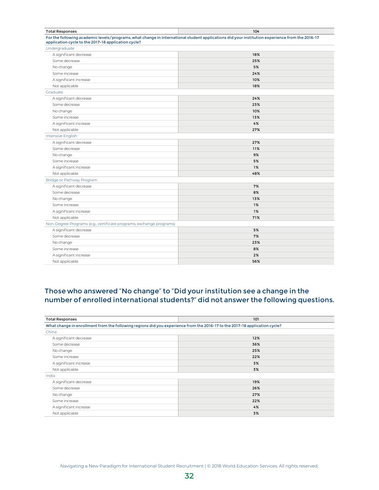| <b>Total Responses</b>                                                                                                                                                                                | 104 |  |
|-------------------------------------------------------------------------------------------------------------------------------------------------------------------------------------------------------|-----|--|
| For the following academic levels/programs, what change in international student applications did your institution experience from the 2016-17<br>application cycle to the 2017-18 application cycle? |     |  |
| Undergraduate                                                                                                                                                                                         |     |  |
| A significant decrease                                                                                                                                                                                | 18% |  |
| Some decrease                                                                                                                                                                                         | 25% |  |
| No change                                                                                                                                                                                             | 5%  |  |
| Some increase                                                                                                                                                                                         | 24% |  |
| A significant increase                                                                                                                                                                                | 10% |  |
| Not applicable                                                                                                                                                                                        | 18% |  |
| Graduate                                                                                                                                                                                              |     |  |
| A significant decrease                                                                                                                                                                                | 24% |  |
| Some decrease                                                                                                                                                                                         | 23% |  |
| No change                                                                                                                                                                                             | 10% |  |
| Some increase                                                                                                                                                                                         | 13% |  |
| A significant increase                                                                                                                                                                                | 4%  |  |
| Not applicable                                                                                                                                                                                        | 27% |  |
| Intensive English                                                                                                                                                                                     |     |  |
| A significant decrease                                                                                                                                                                                | 27% |  |
| Some decrease                                                                                                                                                                                         | 11% |  |
| No change                                                                                                                                                                                             | 9%  |  |
| Some increase                                                                                                                                                                                         | 5%  |  |
| A significant increase                                                                                                                                                                                | 1%  |  |
| Not applicable                                                                                                                                                                                        | 48% |  |
| Bridge or Pathway Program                                                                                                                                                                             |     |  |
| A significant decrease                                                                                                                                                                                | 7%  |  |
| Some decrease                                                                                                                                                                                         | 8%  |  |
| No change                                                                                                                                                                                             | 13% |  |
| Some increase                                                                                                                                                                                         | 1%  |  |
| A significant increase                                                                                                                                                                                | 1%  |  |
| Not applicable                                                                                                                                                                                        | 71% |  |
| Non-Degree Programs (e.g., certificate programs, exchange programs)                                                                                                                                   |     |  |
| A significant decrease                                                                                                                                                                                | 5%  |  |
| Some decrease                                                                                                                                                                                         | 7%  |  |
| No change                                                                                                                                                                                             | 23% |  |
| Some increase                                                                                                                                                                                         | 8%  |  |
| A significant increase                                                                                                                                                                                | 2%  |  |
| Not applicable                                                                                                                                                                                        | 56% |  |

### Those who answered "No change" to "Did your institution see a change in the number of enrolled international students?" did not answer the following questions.

| <b>Total Responses</b>                                                                                                     | 101 |  |
|----------------------------------------------------------------------------------------------------------------------------|-----|--|
| What change in enrollment from the following regions did you experience from the 2016-17 to the 2017-18 application cycle? |     |  |
| China                                                                                                                      |     |  |
| A significant decrease                                                                                                     | 12% |  |
| Some decrease                                                                                                              | 36% |  |
| No change                                                                                                                  | 25% |  |
| Some increase                                                                                                              | 22% |  |
| A significant increase                                                                                                     | 3%  |  |
| Not applicable                                                                                                             | 3%  |  |
| India                                                                                                                      |     |  |
| A significant decrease                                                                                                     | 19% |  |
| Some decrease                                                                                                              | 26% |  |
| No change                                                                                                                  | 27% |  |
| Some increase                                                                                                              | 22% |  |
| A significant increase                                                                                                     | 4%  |  |
| Not applicable                                                                                                             | 3%  |  |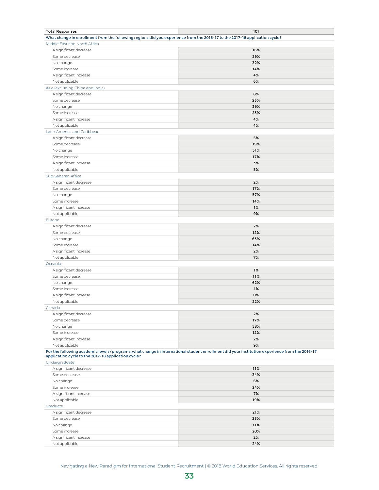| <b>Total Responses</b>                                                                                                     | 101                                                                                                                                          |
|----------------------------------------------------------------------------------------------------------------------------|----------------------------------------------------------------------------------------------------------------------------------------------|
| What change in enrollment from the following regions did you experience from the 2016-17 to the 2017-18 application cycle? |                                                                                                                                              |
| Middle East and North Africa                                                                                               |                                                                                                                                              |
| A significant decrease                                                                                                     | 16%                                                                                                                                          |
| Some decrease                                                                                                              | 29%                                                                                                                                          |
| No change                                                                                                                  | 32%                                                                                                                                          |
| Some increase                                                                                                              | 14%                                                                                                                                          |
| A significant increase                                                                                                     | 4%                                                                                                                                           |
|                                                                                                                            | 6%                                                                                                                                           |
| Not applicable                                                                                                             |                                                                                                                                              |
| Asia (excluding China and India)                                                                                           |                                                                                                                                              |
| A significant decrease                                                                                                     | 8%                                                                                                                                           |
| Some decrease                                                                                                              | 23%                                                                                                                                          |
| No change                                                                                                                  | 39%                                                                                                                                          |
| Some increase                                                                                                              | 23%                                                                                                                                          |
| A significant increase                                                                                                     | 4%                                                                                                                                           |
| Not applicable                                                                                                             | 4%                                                                                                                                           |
| Latin America and Caribbean                                                                                                |                                                                                                                                              |
| A significant decrease                                                                                                     | 5%                                                                                                                                           |
| Some decrease                                                                                                              | 19%                                                                                                                                          |
| No change                                                                                                                  | 51%                                                                                                                                          |
| Some increase                                                                                                              | 17%                                                                                                                                          |
| A significant increase                                                                                                     | 3%                                                                                                                                           |
| Not applicable                                                                                                             | 5%                                                                                                                                           |
| Sub-Saharan Africa                                                                                                         |                                                                                                                                              |
|                                                                                                                            | 2%                                                                                                                                           |
| A significant decrease                                                                                                     |                                                                                                                                              |
| Some decrease                                                                                                              | 17%                                                                                                                                          |
| No change                                                                                                                  | 57%                                                                                                                                          |
| Some increase                                                                                                              | 14%                                                                                                                                          |
| A significant increase                                                                                                     | 1%                                                                                                                                           |
| Not applicable                                                                                                             | 9%                                                                                                                                           |
| Europe                                                                                                                     |                                                                                                                                              |
| A significant decrease                                                                                                     | 2%                                                                                                                                           |
| Some decrease                                                                                                              | 12%                                                                                                                                          |
| No change                                                                                                                  | 63%                                                                                                                                          |
| Some increase                                                                                                              | 14%                                                                                                                                          |
| A significant increase                                                                                                     | 2%                                                                                                                                           |
| Not applicable                                                                                                             | 7%                                                                                                                                           |
| Oceania                                                                                                                    |                                                                                                                                              |
| A significant decrease                                                                                                     | 1%                                                                                                                                           |
| Some decrease                                                                                                              | 11%                                                                                                                                          |
|                                                                                                                            | 62%                                                                                                                                          |
| No change                                                                                                                  |                                                                                                                                              |
| Some increase                                                                                                              | 4%                                                                                                                                           |
| A significant increase                                                                                                     | 0%                                                                                                                                           |
| Not applicable                                                                                                             | 22%                                                                                                                                          |
| Canada                                                                                                                     |                                                                                                                                              |
| A significant decrease                                                                                                     | 2%                                                                                                                                           |
| Some decrease                                                                                                              | 17%                                                                                                                                          |
| No change                                                                                                                  | 58%                                                                                                                                          |
| Some increase                                                                                                              | 12%                                                                                                                                          |
| A significant increase                                                                                                     | 2%                                                                                                                                           |
| Not applicable                                                                                                             | 9%                                                                                                                                           |
| application cycle to the 2017-18 application cycle?                                                                        | For the following academic levels/programs, what change in international student enrollment did your institution experience from the 2016-17 |
| Undergraduate                                                                                                              |                                                                                                                                              |
| A significant decrease                                                                                                     | 11%                                                                                                                                          |
| Some decrease                                                                                                              | 34%                                                                                                                                          |
| No change                                                                                                                  | 6%                                                                                                                                           |
| Some increase                                                                                                              | 24%                                                                                                                                          |
| A significant increase                                                                                                     | 7%                                                                                                                                           |
|                                                                                                                            | 19%                                                                                                                                          |
| Not applicable                                                                                                             |                                                                                                                                              |
| Graduate                                                                                                                   |                                                                                                                                              |
| A significant decrease                                                                                                     | 21%                                                                                                                                          |
| Some decrease                                                                                                              | 23%                                                                                                                                          |
| No change                                                                                                                  | 11%                                                                                                                                          |
| Some increase                                                                                                              | 20%                                                                                                                                          |
| A significant increase                                                                                                     | 2%                                                                                                                                           |
| Not applicable                                                                                                             | 24%                                                                                                                                          |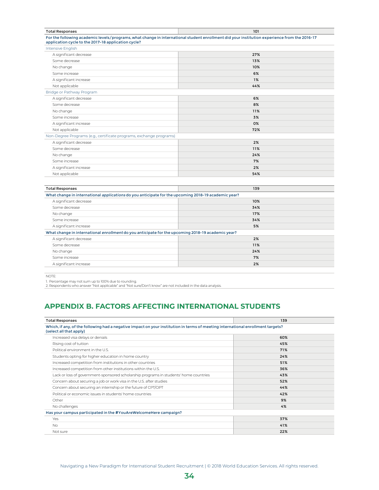<span id="page-40-0"></span>

| <b>Total Responses</b>                                                                              | 101                                                                                                                                          |  |
|-----------------------------------------------------------------------------------------------------|----------------------------------------------------------------------------------------------------------------------------------------------|--|
| application cycle to the 2017-18 application cycle?                                                 | For the following academic levels/programs, what change in international student enrollment did your institution experience from the 2016-17 |  |
| Intensive English                                                                                   |                                                                                                                                              |  |
| A significant decrease                                                                              | 27%                                                                                                                                          |  |
| Some decrease                                                                                       | 13%                                                                                                                                          |  |
| No change                                                                                           | 10%                                                                                                                                          |  |
| Some increase                                                                                       | 6%                                                                                                                                           |  |
| A significant increase                                                                              | 1%                                                                                                                                           |  |
| Not applicable                                                                                      | 44%                                                                                                                                          |  |
| Bridge or Pathway Program                                                                           |                                                                                                                                              |  |
| A significant decrease                                                                              | 6%                                                                                                                                           |  |
| Some decrease                                                                                       | 8%                                                                                                                                           |  |
| No change                                                                                           | 11%                                                                                                                                          |  |
| Some increase                                                                                       | 3%                                                                                                                                           |  |
| A significant increase                                                                              | 0%                                                                                                                                           |  |
| Not applicable                                                                                      | 72%                                                                                                                                          |  |
| Non-Degree Programs (e.g., certificate programs, exchange programs)                                 |                                                                                                                                              |  |
| A significant decrease                                                                              | 2%                                                                                                                                           |  |
| Some decrease                                                                                       | 11%                                                                                                                                          |  |
| No change                                                                                           | 24%                                                                                                                                          |  |
| Some increase                                                                                       | 7%                                                                                                                                           |  |
| A significant increase                                                                              | 2%                                                                                                                                           |  |
| Not applicable                                                                                      | 54%                                                                                                                                          |  |
|                                                                                                     |                                                                                                                                              |  |
| <b>Total Responses</b>                                                                              | 139                                                                                                                                          |  |
| What change in international applications do you anticipate for the upcoming 2018-19 academic year? |                                                                                                                                              |  |
| A significant decrease                                                                              | 10%                                                                                                                                          |  |
|                                                                                                     |                                                                                                                                              |  |

|                                                                                                   | .   |  |
|---------------------------------------------------------------------------------------------------|-----|--|
| Some decrease                                                                                     | 34% |  |
| No change                                                                                         | 17% |  |
| Some increase                                                                                     | 34% |  |
| A significant increase                                                                            | 5%  |  |
| What change in international enrollment do you anticipate for the upcoming 2018-19 academic year? |     |  |
| A significant decrease                                                                            | 2%  |  |
| Some decrease                                                                                     | 11% |  |
| No change                                                                                         | 24% |  |
| Some increase                                                                                     | 7%  |  |
| A significant increase                                                                            | 2%  |  |
|                                                                                                   |     |  |

NOTE:

1. Percentage may not sum up to 100% due to rounding. 2. Respondents who answer "Not applicable" and "Not sure/Don't know" are not included in the data analysis.

### **APPENDIX B. FACTORS AFFECTING INTERNATIONAL STUDENTS**

| <b>Total Responses</b>                                                                                                                                     | 139 |
|------------------------------------------------------------------------------------------------------------------------------------------------------------|-----|
| Which, if any, of the following had a negative impact on your institution in terms of meeting international enrollment targets?<br>(select all that apply) |     |
| Increased visa delays or denials                                                                                                                           | 60% |
| Rising cost of tuition                                                                                                                                     | 45% |
| Political environment in the U.S.                                                                                                                          | 71% |
| Students opting for higher education in home country                                                                                                       | 24% |
| Increased competition from institutions in other countries                                                                                                 | 51% |
| Increased competition from other institutions within the U.S.                                                                                              | 36% |
| Lack or loss of government-sponsored scholarship programs in students' home countries                                                                      | 43% |
| Concern about securing a job or work visa in the U.S. after studies                                                                                        | 52% |
| Concern about securing an internship or the future of CPT/OPT                                                                                              | 44% |
| Political or economic issues in students' home countries                                                                                                   | 42% |
| Other                                                                                                                                                      | 9%  |
| No challenges                                                                                                                                              | 4%  |
| Has your campus participated in the #YouAreWelcomeHere campaign?                                                                                           |     |
| Yes                                                                                                                                                        | 37% |
| <b>No</b>                                                                                                                                                  | 41% |
| Not sure                                                                                                                                                   | 22% |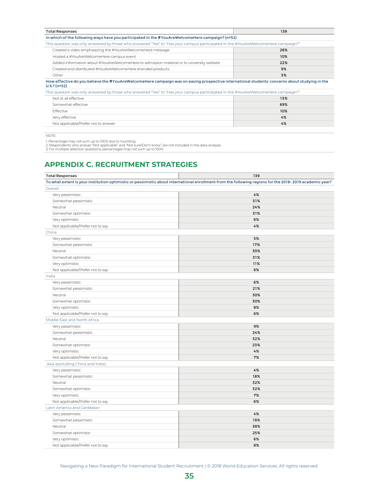<span id="page-41-0"></span>

| <b>Total Responses</b>                                                                                                                                          | 139 |  |
|-----------------------------------------------------------------------------------------------------------------------------------------------------------------|-----|--|
| In which of the following ways have you participated in the #YouAreWelcomeHere campaign? (n=52)                                                                 |     |  |
| This question was only answered by those who answered "Yes" to "Has your campus participated in the #YouAreWelcomeHere campaign?"                               |     |  |
| Created a video emphasizing the #YouAreWelcomeHere message                                                                                                      | 28% |  |
| Hosted a #YouAreWelcomeHere campus event                                                                                                                        | 10% |  |
| Added information about #YouAreWelcomeHere to admission material or to university website                                                                       | 22% |  |
| Created and distributed #YouAreWelcomeHere branded products                                                                                                     | 9%  |  |
| Other                                                                                                                                                           | 3%  |  |
| How effective do you believe the #YouAreWelcomeHere campaign was on easing prospective international students' concerns about studying in the<br>$U.S.?$ (n=52) |     |  |
| This question was only answered by those who answered "Yes" to "Has your campus participated in the #YouAreWelcomeHere campaign?"                               |     |  |
| Not at all effective                                                                                                                                            | 13% |  |
| Somewhat effective                                                                                                                                              | 69% |  |
| Effective                                                                                                                                                       | 10% |  |
| Very effective                                                                                                                                                  | 4%  |  |
| Not applicable/Prefer not to answer                                                                                                                             | 4%  |  |

NOTE:

1. Percentage may not sum up to 100% due to rounding.<br>2. Respondents who answer "Not applicable" and "Not sure/Don't know" are not included in the data analysis.<br>3. For multiple selection questions, percentages may not sum

### **APPENDIX C. RECRUITMENT STRATEGIES**

| <b>Total Responses</b>           | 139                                                                                                                                                     |
|----------------------------------|---------------------------------------------------------------------------------------------------------------------------------------------------------|
|                                  | To what extent is your institution optimistic or pessimistic about international enrollment from the following regions for the 2018-2019 academic year? |
| Overall                          |                                                                                                                                                         |
| Very pessimistic                 | 4%                                                                                                                                                      |
| Somewhat pessimistic             | 31%                                                                                                                                                     |
| Neutral                          | 24%                                                                                                                                                     |
| Somewhat optimistic              | 31%                                                                                                                                                     |
| Very optimistic                  | 6%                                                                                                                                                      |
| Not applicable/Prefer not to say | 4%                                                                                                                                                      |
| China                            |                                                                                                                                                         |
| Very pessimistic                 | 5%                                                                                                                                                      |
| Somewhat pessimistic             | 17%                                                                                                                                                     |
| Neutral                          | 30%                                                                                                                                                     |
| Somewhat optimistic              | 31%                                                                                                                                                     |
| Very optimistic                  | 11%                                                                                                                                                     |
| Not applicable/Prefer not to say | 6%                                                                                                                                                      |
| India                            |                                                                                                                                                         |
| Very pessimistic                 | 6%                                                                                                                                                      |
| Somewhat pessimistic             | 21%                                                                                                                                                     |
| Neutral                          | 30%                                                                                                                                                     |
| Somewhat optimistic              | 30%                                                                                                                                                     |
| Very optimistic                  | 8%                                                                                                                                                      |
| Not applicable/Prefer not to say | 6%                                                                                                                                                      |
| Middle East and North Africa     |                                                                                                                                                         |
| Very pessimistic                 | 9%                                                                                                                                                      |
| Somewhat pessimistic             | 24%                                                                                                                                                     |
| Neutral                          | 32%                                                                                                                                                     |
| Somewhat optimistic              | 23%                                                                                                                                                     |
| Very optimistic                  | 4%                                                                                                                                                      |
| Not applicable/Prefer not to say | 7%                                                                                                                                                      |
| Asia (excluding China and India) |                                                                                                                                                         |
| Very pessimistic                 | 4%                                                                                                                                                      |
| Somewhat pessimistic             | 18%                                                                                                                                                     |
| Neutral                          | 32%                                                                                                                                                     |
| Somewhat optimistic              | 32%                                                                                                                                                     |
| Very optimistic                  | 7%                                                                                                                                                      |
| Not applicable/Prefer not to say | 6%                                                                                                                                                      |
| Latin America and Caribbean      |                                                                                                                                                         |
| Very pessimistic                 | 4%                                                                                                                                                      |
| Somewhat pessimistic             | 19%                                                                                                                                                     |
| Neutral                          | 38%                                                                                                                                                     |
| Somewhat optimistic              | 25%                                                                                                                                                     |
| Very optimistic                  | 6%                                                                                                                                                      |
| Not applicable/Prefer not to say | 8%                                                                                                                                                      |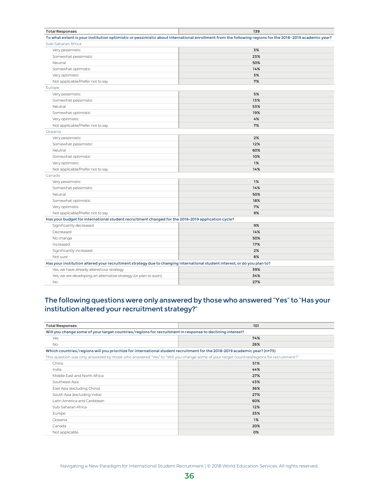| <b>Total Responses</b>                                                                                                    | 139                                                                                                                                                     |
|---------------------------------------------------------------------------------------------------------------------------|---------------------------------------------------------------------------------------------------------------------------------------------------------|
|                                                                                                                           | To what extent is your institution optimistic or pessimistic about international enrollment from the following regions for the 2018-2019 academic year? |
| Sub-Saharan Africa                                                                                                        |                                                                                                                                                         |
| Very pessimistic                                                                                                          | 3%                                                                                                                                                      |
| Somewhat pessimistic                                                                                                      | 23%                                                                                                                                                     |
| Neutral                                                                                                                   | 50%                                                                                                                                                     |
| Somewhat optimistic                                                                                                       | 14%                                                                                                                                                     |
| Very optimistic                                                                                                           | 3%                                                                                                                                                      |
| Not applicable/Prefer not to say                                                                                          | 7%                                                                                                                                                      |
| Europe                                                                                                                    |                                                                                                                                                         |
| Very pessimistic                                                                                                          | 5%                                                                                                                                                      |
| Somewhat pessimistic                                                                                                      | 13%                                                                                                                                                     |
| Neutral                                                                                                                   | 53%                                                                                                                                                     |
| Somewhat optimistic                                                                                                       | 19%                                                                                                                                                     |
| Very optimistic                                                                                                           | 4%                                                                                                                                                      |
| Not applicable/Prefer not to say                                                                                          | 7%                                                                                                                                                      |
| Oceania                                                                                                                   |                                                                                                                                                         |
| Very pessimistic                                                                                                          | 2%                                                                                                                                                      |
| Somewhat pessimistic                                                                                                      | 12%                                                                                                                                                     |
| Neutral                                                                                                                   | 60%                                                                                                                                                     |
| Somewhat optimistic                                                                                                       | 10%                                                                                                                                                     |
| Very optimistic                                                                                                           | 1%                                                                                                                                                      |
| Not applicable/Prefer not to say                                                                                          | 14%                                                                                                                                                     |
| Canada                                                                                                                    |                                                                                                                                                         |
| Very pessimistic                                                                                                          | 1%                                                                                                                                                      |
| Somewhat pessimistic                                                                                                      | 14%                                                                                                                                                     |
| Neutral                                                                                                                   | 50%                                                                                                                                                     |
| Somewhat optimistic                                                                                                       | 18%                                                                                                                                                     |
| Very optimistic                                                                                                           | 7%                                                                                                                                                      |
| Not applicable/Prefer not to say                                                                                          | 9%                                                                                                                                                      |
| Has your budget for international student recruitment changed for the 2018-2019 application cycle?                        |                                                                                                                                                         |
| Significantly decreased                                                                                                   | 9%                                                                                                                                                      |
| Decreased                                                                                                                 | 14%                                                                                                                                                     |
| No change                                                                                                                 | 50%                                                                                                                                                     |
| Increased                                                                                                                 | 17%                                                                                                                                                     |
| Significantly increased                                                                                                   | 2%                                                                                                                                                      |
| Not sure                                                                                                                  | 8%                                                                                                                                                      |
| Has your institution altered your recruitment strategy due to changing international student interest, or do you plan to? |                                                                                                                                                         |
| Yes, we have already altered our strategy                                                                                 | 39%                                                                                                                                                     |
| Yes, we are developing an alternative strategy (or plan to soon)                                                          | 34%                                                                                                                                                     |
| <b>No</b>                                                                                                                 | 27%                                                                                                                                                     |

### The following questions were only answered by those who answered "Yes" to "Has your institution altered your recruitment strategy?"

| <b>Total Responses</b>                                                                                                                  | 101   |
|-----------------------------------------------------------------------------------------------------------------------------------------|-------|
| Will you change some of your target countries/regions for recruitment in response to declining interest?                                |       |
| Yes                                                                                                                                     | 74%   |
| <b>No</b>                                                                                                                               | 26%   |
| Which countries/regions will you prioritize for international student recruitment for the 2018-2019 academic year? (n=75)               |       |
| This question was only answered by those who answered "Yes" to "Will you change some of your target countries/regions for recruitment?" |       |
| China                                                                                                                                   | 51%   |
| India                                                                                                                                   | 44%   |
| Middle East and North Africa                                                                                                            | 27%   |
| Southeast Asia                                                                                                                          | 43%   |
| East Asia (excluding China)                                                                                                             | 36%   |
| South Asia (excluding India)                                                                                                            | 27%   |
| Latin America and Caribbean                                                                                                             | 60%   |
| Sub-Saharan Africa                                                                                                                      | 12%   |
| Europe                                                                                                                                  | 25%   |
| Oceania                                                                                                                                 | $1\%$ |
| Canada                                                                                                                                  | 20%   |
| Not applicable                                                                                                                          | 0%    |

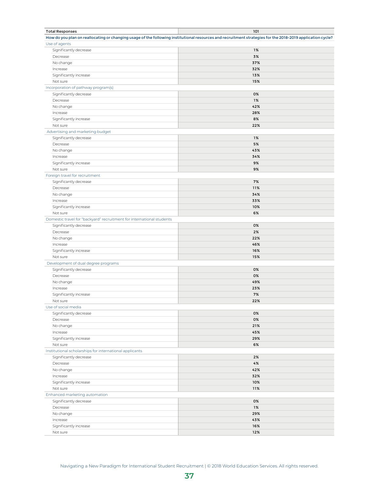| <b>Total Responses</b>                                                | 101                                                                                                                                                        |
|-----------------------------------------------------------------------|------------------------------------------------------------------------------------------------------------------------------------------------------------|
|                                                                       | How do you plan on reallocating or changing usage of the following institutional resources and recruitment strategies for the 2018-2019 application cycle? |
| Use of agents                                                         |                                                                                                                                                            |
| Significantly decrease                                                | 1%                                                                                                                                                         |
| Decrease                                                              | 3%                                                                                                                                                         |
| No change                                                             | 37%                                                                                                                                                        |
| Increase                                                              | 32%                                                                                                                                                        |
| Significantly increase                                                | 13%                                                                                                                                                        |
| Not sure                                                              | 15%                                                                                                                                                        |
| Incorporation of pathway program(s)                                   |                                                                                                                                                            |
| Significantly decrease                                                | 0%                                                                                                                                                         |
| Decrease                                                              | 1%                                                                                                                                                         |
|                                                                       | 42%                                                                                                                                                        |
| No change                                                             |                                                                                                                                                            |
| Increase                                                              | 28%                                                                                                                                                        |
| Significantly increase                                                | 8%                                                                                                                                                         |
| Not sure                                                              | 22%                                                                                                                                                        |
| Advertising and marketing budget                                      |                                                                                                                                                            |
| Significantly decrease                                                | 1%                                                                                                                                                         |
| Decrease                                                              | 5%                                                                                                                                                         |
| No change                                                             | 43%                                                                                                                                                        |
| Increase                                                              | 34%                                                                                                                                                        |
| Significantly increase                                                | 9%                                                                                                                                                         |
| Not sure                                                              | 9%                                                                                                                                                         |
| Foreign travel for recruitment                                        |                                                                                                                                                            |
| Significantly decrease                                                | 7%                                                                                                                                                         |
| Decrease                                                              | 11%                                                                                                                                                        |
| No change                                                             | 34%                                                                                                                                                        |
| Increase                                                              | 33%                                                                                                                                                        |
| Significantly increase                                                | 10%                                                                                                                                                        |
| Not sure                                                              | 6%                                                                                                                                                         |
| Domestic travel for "backyard" recruitment for international students |                                                                                                                                                            |
| Significantly decrease                                                | 0%                                                                                                                                                         |
|                                                                       | 2%                                                                                                                                                         |
| Decrease                                                              |                                                                                                                                                            |
| No change                                                             | 22%                                                                                                                                                        |
| Increase                                                              | 46%                                                                                                                                                        |
| Significantly increase                                                | 16%                                                                                                                                                        |
| Not sure                                                              | 15%                                                                                                                                                        |
| Development of dual degree programs                                   |                                                                                                                                                            |
| Significantly decrease                                                | 0%                                                                                                                                                         |
| Decrease                                                              | 0%                                                                                                                                                         |
| No change                                                             | 49%                                                                                                                                                        |
| Increase                                                              | 23%                                                                                                                                                        |
| Significantly increase                                                | 7%                                                                                                                                                         |
| Not sure                                                              | 22%                                                                                                                                                        |
| Use of social media                                                   |                                                                                                                                                            |
| Significantly decrease                                                | 0%                                                                                                                                                         |
| Decrease                                                              | 0%                                                                                                                                                         |
| No change                                                             | 21%                                                                                                                                                        |
| Increase                                                              | 45%                                                                                                                                                        |
| Significantly increase                                                | 29%                                                                                                                                                        |
| Not sure                                                              | 6%                                                                                                                                                         |
| Institutional scholarships for international applicants               |                                                                                                                                                            |
|                                                                       | 2%                                                                                                                                                         |
| Significantly decrease                                                |                                                                                                                                                            |
| Decrease                                                              | 4%                                                                                                                                                         |
| No change                                                             | 42%                                                                                                                                                        |
| Increase                                                              | 32%                                                                                                                                                        |
| Significantly increase                                                | 10%                                                                                                                                                        |
| Not sure                                                              | 11%                                                                                                                                                        |
| Enhanced marketing automation                                         |                                                                                                                                                            |
| Significantly decrease                                                | 0%                                                                                                                                                         |
| Decrease                                                              | 1%                                                                                                                                                         |
| No change                                                             | 29%                                                                                                                                                        |
| Increase                                                              | 43%                                                                                                                                                        |
| Significantly increase                                                | 16%                                                                                                                                                        |
| Not sure                                                              | 12%                                                                                                                                                        |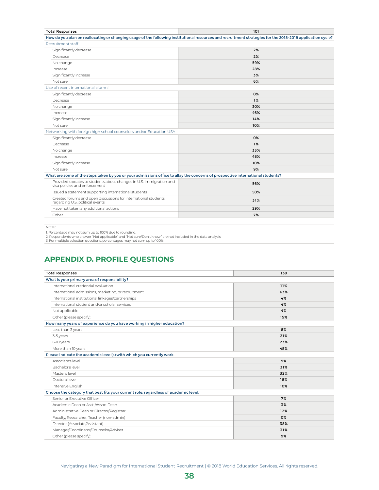<span id="page-44-0"></span>

| <b>Total Responses</b>                                                                                                                                     | 101 |
|------------------------------------------------------------------------------------------------------------------------------------------------------------|-----|
| How do you plan on reallocating or changing usage of the following institutional resources and recruitment strategies for the 2018-2019 application cycle? |     |
| Recruitment staff                                                                                                                                          |     |
| Significantly decrease                                                                                                                                     | 2%  |
| Decrease                                                                                                                                                   | 2%  |
| No change                                                                                                                                                  | 59% |
| Increase                                                                                                                                                   | 28% |
| Significantly increase                                                                                                                                     | 3%  |
| Not sure                                                                                                                                                   | 6%  |
| Use of recent international alumni                                                                                                                         |     |
| Significantly decrease                                                                                                                                     | 0%  |
| Decrease                                                                                                                                                   | 1%  |
| No change                                                                                                                                                  | 30% |
| Increase                                                                                                                                                   | 46% |
| Significantly increase                                                                                                                                     | 14% |
| Not sure                                                                                                                                                   | 10% |
| Networking with foreign high school counselors and/or Education USA                                                                                        |     |
| Significantly decrease                                                                                                                                     | 0%  |
| Decrease                                                                                                                                                   | 1%  |
| No change                                                                                                                                                  | 33% |
| Increase                                                                                                                                                   | 48% |
| Significantly increase                                                                                                                                     | 10% |
| Not sure                                                                                                                                                   | 9%  |
| What are some of the steps taken by you or your admissions office to allay the concerns of prospective international students?                             |     |
| Provided updates to students about changes in U.S. immigration and<br>visa policies and enforcement                                                        | 56% |
| Issued a statement supporting international students                                                                                                       | 50% |
| Created forums and open discussions for international students<br>regarding U.S. political events                                                          | 31% |
| Have not taken any additional actions                                                                                                                      | 29% |
| Other                                                                                                                                                      | 7%  |

NOTE:

1. Percentage may not sum up to 100% due to rounding.<br>2. Respondents who answer "Not applicable" and "Not sure/Don't know" are not included in the data analysis.<br>3. For multiple selection questions, percentages may not sum

### **APPENDIX D. PROFILE QUESTIONS**

| <b>Total Responses</b>                                                              | 139 |
|-------------------------------------------------------------------------------------|-----|
| What is your primary area of responsibility?                                        |     |
| International credential evaluation                                                 | 11% |
| International admissions, marketing, or recruitment                                 | 63% |
| International institutional linkages/partnerships                                   | 4%  |
| International student and/or scholar services                                       | 4%  |
| Not applicable                                                                      | 4%  |
| Other (please specify):                                                             | 15% |
| How many years of experience do you have working in higher education?               |     |
| Less than 3 years                                                                   | 8%  |
| 3-5 years                                                                           | 21% |
| 6-10 years                                                                          | 23% |
| More than 10 years                                                                  | 48% |
| Please indicate the academic level(s) with which you currently work.                |     |
| Associate's level                                                                   | 9%  |
| Bachelor's level                                                                    | 31% |
| Master's level                                                                      | 32% |
| Doctoral level                                                                      | 18% |
| Intensive English                                                                   | 10% |
| Choose the category that best fits your current role, regardless of academic level. |     |
| Senior or Executive Officer                                                         | 7%  |
| Academic Dean or Asst./Assoc. Dean                                                  | 3%  |
| Administrative Dean or Director/Registrar                                           | 12% |
| Faculty, Researcher, Teacher (non-admin)                                            | 0%  |
| Director (Associate/Assistant)                                                      | 38% |
| Manager/Coordinator/Counselor/Adviser                                               | 31% |
| Other (please specify):                                                             | 9%  |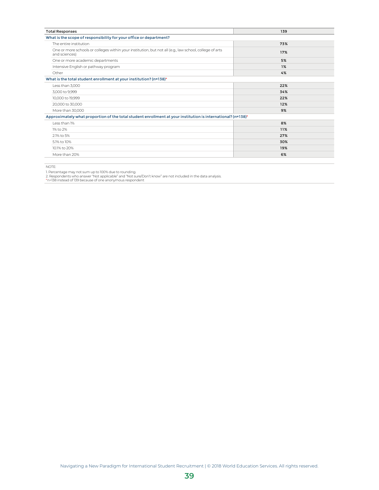| <b>Total Responses</b>                                                                                                   | 139 |  |
|--------------------------------------------------------------------------------------------------------------------------|-----|--|
| What is the scope of responsibility for your office or department?                                                       |     |  |
| The entire institution                                                                                                   | 73% |  |
| One or more schools or colleges within your institution, but not all (e.g., law school, college of arts<br>and sciences) | 17% |  |
| One or more academic departments                                                                                         | 5%  |  |
| Intensive English or pathway program                                                                                     | 1%  |  |
| Other                                                                                                                    | 4%  |  |
| What is the total student enrollment at your institution? (n=138)*                                                       |     |  |
| Less than 3,000                                                                                                          | 22% |  |
| 3,000 to 9,999                                                                                                           | 34% |  |
| 10,000 to 19,999                                                                                                         | 22% |  |
| 20,000 to 30,000                                                                                                         | 12% |  |
| More than 30,000                                                                                                         | 9%  |  |
| Approximately what proportion of the total student enrollment at your institution is international? (n=138)*             |     |  |
| I ess than 1%                                                                                                            | 8%  |  |
| 1% to 2%                                                                                                                 | 11% |  |
| 2.1% to 5%                                                                                                               | 27% |  |
| 5.1% to 10%                                                                                                              | 30% |  |
| 10.1% to 20%                                                                                                             | 19% |  |
| More than 20%                                                                                                            | 6%  |  |

NOTE:

1. Percentage may not sum up to 100% due to rounding.<br>2. Respondents who answer "Not applicable" and "Not sure/Don't know" are not included in the data analysis.<br>\*n=138 instead of 139 because of one anonymous respondent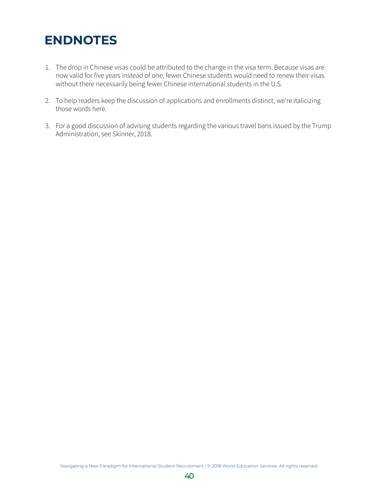### <span id="page-46-0"></span>**ENDNOTES**

- 1. The drop in Chinese visas could be attributed to the change in the visa term. Because visas are now valid for five years instead of one, fewer Chinese students would need to renew their visas without there necessarily being fewer Chinese international students in the U.S.
- 2. To help readers keep the discussion of applications and enrollments distinct, we're italicizing those words here.
- 3. For a good discussion of advising students regarding the various travel bans issued by the Trump Administration, see Skinner, 2018.

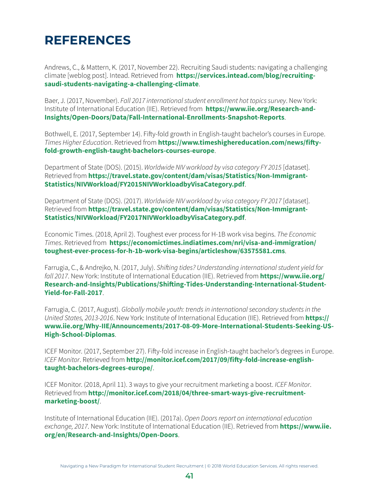### <span id="page-47-0"></span>**REFERENCES**

Andrews, C., & Mattern, K. (2017, November 22). Recruiting Saudi students: navigating a challenging climate [weblog post]. Intead. Retrieved from **[https://services.intead.com/blog/recruiting](https://services.intead.com/blog/recruiting-saudi-students-navigating-a-challenging-climate)[saudi-students-navigating-a-challenging-climate](https://services.intead.com/blog/recruiting-saudi-students-navigating-a-challenging-climate)**.

Baer, J. (2017, November). Fall 2017 international student enrollment hot topics survey. New York: Institute of International Education (IIE). Retrieved from **[https://www.iie.org/Research-and-](https://www.iie.org/Research-and-Insights/Open-Doors/Data/Fall-International-Enrollments-Snapshot-Reports)[Insights/Open-Doors/Data/Fall-International-Enrollments-Snapshot-Reports](https://www.iie.org/Research-and-Insights/Open-Doors/Data/Fall-International-Enrollments-Snapshot-Reports)**.

Bothwell, E. (2017, September 14). Fifty-fold growth in English-taught bachelor's courses in Europe. Times Higher Education. Retrieved from **[https://www.timeshighereducation.com/news/fifty](https://www.timeshighereducation.com/news/fifty-fold-growth-english-taught-bachelors-courses-europe)[fold-growth-english-taught-bachelors-courses-europe](https://www.timeshighereducation.com/news/fifty-fold-growth-english-taught-bachelors-courses-europe)**.

Department of State (DOS). (2015). Worldwide NIV workload by visa category FY 2015 [dataset]. Retrieved from **[https://travel.state.gov/content/dam/visas/Statistics/Non-Immigrant-](https://travel.state.gov/content/dam/visas/Statistics/Non-Immigrant-Statistics/NIVWorkload/FY2015NIVWorkloadbyVisaCategory.pdf)[Statistics/NIVWorkload/FY2015NIVWorkloadbyVisaCategory.pdf](https://travel.state.gov/content/dam/visas/Statistics/Non-Immigrant-Statistics/NIVWorkload/FY2015NIVWorkloadbyVisaCategory.pdf)**.

<span id="page-47-1"></span>Department of State (DOS). (2017). Worldwide NIV workload by visa category FY 2017 [dataset]. Retrieved from **[https://travel.state.gov/content/dam/visas/Statistics/Non-Immigrant-](https://travel.state.gov/content/dam/visas/Statistics/Non-Immigrant-Statistics/NIVWorkload/FY2017NIVWorkloadbyVisaCategory.pdf)[Statistics/NIVWorkload/FY2017NIVWorkloadbyVisaCategory.pdf](https://travel.state.gov/content/dam/visas/Statistics/Non-Immigrant-Statistics/NIVWorkload/FY2017NIVWorkloadbyVisaCategory.pdf)**.

Economic Times. (2018, April 2). Toughest ever process for H-1B work visa begins. The Economic Times. Retrieved from **[https://economictimes.indiatimes.com/nri/visa-and-immigration/](https://economictimes.indiatimes.com/nri/visa-and-immigration/toughest-ever-process-for-h-1b-work-visa-begins/articleshow/63575581.cms) [toughest-ever-process-for-h-1b-work-visa-begins/articleshow/63575581.cms](https://economictimes.indiatimes.com/nri/visa-and-immigration/toughest-ever-process-for-h-1b-work-visa-begins/articleshow/63575581.cms)**.

Farrugia, C., & Andrejko, N. (2017, July). Shifting tides? Understanding international student yield for fall 2017. New York: Institute of International Education (IIE). Retrieved from **[https://www.iie.org/](https://www.iie.org/Research-and-Insights/Publications/Shifting-Tides-Understanding-International-Student-Yield-for-Fall-2017) [Research-and-Insights/Publications/Shifting-Tides-Understanding-International-Student-](https://www.iie.org/Research-and-Insights/Publications/Shifting-Tides-Understanding-International-Student-Yield-for-Fall-2017)[Yield-for-Fall-2017](https://www.iie.org/Research-and-Insights/Publications/Shifting-Tides-Understanding-International-Student-Yield-for-Fall-2017)**.

Farrugia, C. (2017, August). Globally mobile youth: trends in international secondary students in the United States, 2013-2016. New York: Institute of International Education (IIE). Retrieved from **[https://](https://www.iie.org/Why-IIE/Announcements/2017-08-09-More-International-Students-Seeking-US-High-School-Diplomas) [www.iie.org/Why-IIE/Announcements/2017-08-09-More-International-Students-Seeking-US-](https://www.iie.org/Why-IIE/Announcements/2017-08-09-More-International-Students-Seeking-US-High-School-Diplomas)[High-School-Diplomas](https://www.iie.org/Why-IIE/Announcements/2017-08-09-More-International-Students-Seeking-US-High-School-Diplomas)**.

ICEF Monitor. (2017, September 27). Fifty-fold increase in English-taught bachelor's degrees in Europe. ICEF Monitor. Retrieved from **[http://monitor.icef.com/2017/09/fifty-fold-increase-english](http://monitor.icef.com/2017/09/fifty-fold-increase-english-taught-bachelors-degrees-europe/)[taught-bachelors-degrees-europe/](http://monitor.icef.com/2017/09/fifty-fold-increase-english-taught-bachelors-degrees-europe/)**.

ICEF Monitor. (2018, April 11). 3 ways to give your recruitment marketing a boost. ICEF Monitor. Retrieved from **[http://monitor.icef.com/2018/04/three-smart-ways-give-recruitment](http://monitor.icef.com/2018/04/three-smart-ways-give-recruitment-marketing-boost/)[marketing-boost/](http://monitor.icef.com/2018/04/three-smart-ways-give-recruitment-marketing-boost/)**.

Institute of International Education (IIE). (2017a). Open Doors report on international education exchange, 2017. New York: Institute of International Education (IIE). Retrieved from **[https://www.iie.](https://www.iie.org/en/Research-and-Insights/Open-Doors) [org/en/Research-and-Insights/Open-Doors](https://www.iie.org/en/Research-and-Insights/Open-Doors)**.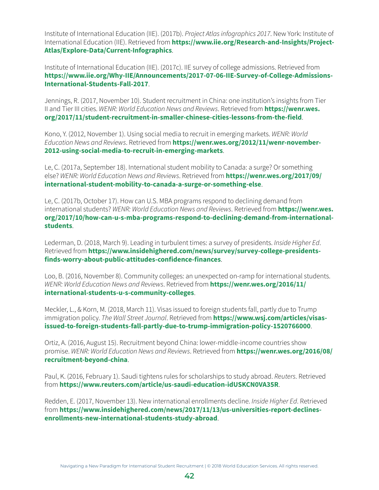Institute of International Education (IIE). (2017b). Project Atlas infographics 2017. New York: Institute of International Education (IIE). Retrieved from **[https://www.iie.org/Research-and-Insights/Project-](https://www.iie.org/Research-and-Insights/Project-Atlas/Explore-Data/Current-Infographics)[Atlas/Explore-Data/Current-Infographics](https://www.iie.org/Research-and-Insights/Project-Atlas/Explore-Data/Current-Infographics)**.

Institute of International Education (IIE). (2017c). IIE survey of college admissions. Retrieved from **[https://www.iie.org/Why-IIE/Announcements/2017-07-06-IIE-Survey-of-College-Admissions-](https://www.iie.org/Why-IIE/Announcements/2017-07-06-IIE-Survey-of-College-Admissions-International-Students-Fall-2017)[International-Students-Fall-2017](https://www.iie.org/Why-IIE/Announcements/2017-07-06-IIE-Survey-of-College-Admissions-International-Students-Fall-2017)**.

Jennings, R. (2017, November 10). Student recruitment in China: one institution's insights from Tier II and Tier III cities. WENR: World Education News and Reviews. Retrieved from **[https://wenr.wes.](https://wenr.wes.org/2017/11/student-recruitment-in-smaller-chinese-cities-lessons-from-the-field) [org/2017/11/student-recruitment-in-smaller-chinese-cities-lessons-from-t](https://wenr.wes.org/2017/11/student-recruitment-in-smaller-chinese-cities-lessons-from-the-field)he-field**.

Kono, Y. (2012, November 1). Using social media to recruit in emerging markets. WENR: World Education News and Reviews. Retrieved from **[https://wenr.wes.org/2012/11/wenr-november-](https://wenr.wes.org/2012/11/wenr-november-2012-using-social-media-to-recruit-in-emerging-markets)[2012-using-social-media-to-recruit-in-emerging-markets](https://wenr.wes.org/2012/11/wenr-november-2012-using-social-media-to-recruit-in-emerging-markets)**.

Le, C. (2017a, September 18). International student mobility to Canada: a surge? Or something else? WENR: World Education News and Reviews. Retrieved from **[https://wenr.wes.org/2017/09/](https://wenr.wes.org/2017/09/international-student-mobility-to-canada-a-surge-or-something-else) [international-student-mobility-to-canada-a-surge-or-something-else](https://wenr.wes.org/2017/09/international-student-mobility-to-canada-a-surge-or-something-else)**.

Le, C. (2017b, October 17). How can U.S. MBA programs respond to declining demand from international students? WENR: World Education News and Reviews. Retrieved from **[https://wenr.wes.](https://wenr.wes.org/2017/10/how-can-u-s-mba-programs-respond-to-declining-demand-from-international-students) [org/2017/10/how-can-u-s-mba-programs-respond-to-declining-demand-from-international](https://wenr.wes.org/2017/10/how-can-u-s-mba-programs-respond-to-declining-demand-from-international-students)[students](https://wenr.wes.org/2017/10/how-can-u-s-mba-programs-respond-to-declining-demand-from-international-students)**.

Lederman, D. (2018, March 9). Leading in turbulent times: a survey of presidents. Inside Higher Ed. Retrieved from **[https://www.insidehighered.com/news/survey/survey-college-presidents](https://www.insidehighered.com/news/survey/survey-college-presidents-finds-worry-about-public-attitudes-confidence-finances)[finds-worry-about-public-attitudes-confidence-finances](https://www.insidehighered.com/news/survey/survey-college-presidents-finds-worry-about-public-attitudes-confidence-finances)**.

Loo, B. (2016, November 8). Community colleges: an unexpected on-ramp for international students. WENR: World Education News and Reviews. Retrieved from **[https://wenr.wes.org/2016/11/](https://wenr.wes.org/2016/11/international-students-u-s-community-colleges) [international-students-u-s-community-colleges](https://wenr.wes.org/2016/11/international-students-u-s-community-colleges)**.

Meckler, L., & Korn, M. (2018, March 11). Visas issued to foreign students fall, partly due to Trump immigration policy. The Wall Street Journal. Retrieved from **[https://www.wsj.com/articles/visas](https://www.wsj.com/articles/visas-issued-to-foreign-students-fall-partly-due-to-trump-immigration-policy-1520766000)[issued-to-foreign-students-fall-partly-due-to-trump-immigration-policy-1520766000](https://www.wsj.com/articles/visas-issued-to-foreign-students-fall-partly-due-to-trump-immigration-policy-1520766000)**.

Ortiz, A. (2016, August 15). Recruitment beyond China: lower-middle-income countries show promise. WENR: World Education News and Reviews. Retrieved from **[https://wenr.wes.org/2016/08/](https://wenr.wes.org/2016/08/recruitment-beyond-china) [recruitment-beyond-china](https://wenr.wes.org/2016/08/recruitment-beyond-china)**.

Paul, K. (2016, February 1). Saudi tightens rules for scholarships to study abroad. Reuters. Retrieved from **<https://www.reuters.com/article/us-saudi-education-idUSKCN0VA35R>**.

Redden, E. (2017, November 13). New international enrollments decline. Inside Higher Ed. Retrieved from **[https://www.insidehighered.com/news/2017/11/13/us-universities-report-declines](https://www.insidehighered.com/news/2017/11/13/us-universities-report-declines-enrollments-new-international-students-study-abroad)[enrollments-new-international-students-study-abroad](https://www.insidehighered.com/news/2017/11/13/us-universities-report-declines-enrollments-new-international-students-study-abroad)**.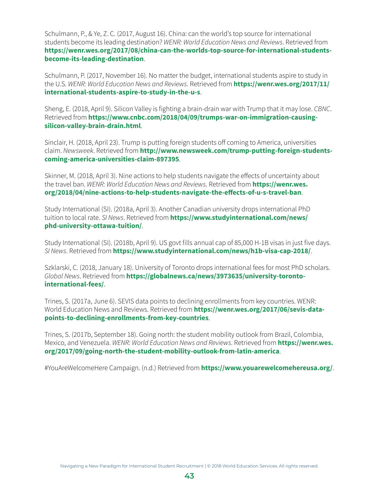Schulmann, P., & Ye, Z. C. (2017, August 16). China: can the world's top source for international students become its leading destination? WENR: World Education News and Reviews. Retrieved from **[https://wenr.wes.org/2017/08/china-can-the-worlds-top-source-for-international-students](https://wenr.wes.org/2017/08/china-can-the-worlds-top-source-for-international-students-become-its-leading-destination)[become-its-leading-destination](https://wenr.wes.org/2017/08/china-can-the-worlds-top-source-for-international-students-become-its-leading-destination)**.

Schulmann, P. (2017, November 16). No matter the budget, international students aspire to study in the U.S. WENR: World Education News and Reviews. Retrieved from **[https://wenr.wes.org/2017/11/](https://wenr.wes.org/2017/11/international-students-aspire-to-study-in-the-u-s) [international-students-aspire-to-study-in-the-u-s](https://wenr.wes.org/2017/11/international-students-aspire-to-study-in-the-u-s)**.

Sheng, E. (2018, April 9). Silicon Valley is fighting a brain-drain war with Trump that it may lose. CBNC. Retrieved from **[https://www.cnbc.com/2018/04/09/trumps-war-on-immigration-causing](https://www.cnbc.com/2018/04/09/trumps-war-on-immigration-causing-silicon-valley-brain-drain.html)[silicon-valley-brain-drain.html](https://www.cnbc.com/2018/04/09/trumps-war-on-immigration-causing-silicon-valley-brain-drain.html)**.

Sinclair, H. (2018, April 23). Trump is putting foreign students off coming to America, universities claim. Newsweek. Retrieved from **[http://www.newsweek.com/trump-putting-foreign-students](http://www.newsweek.com/trump-putting-foreign-students-coming-america-universities-claim-897395)[coming-america-universities-claim-897395](http://www.newsweek.com/trump-putting-foreign-students-coming-america-universities-claim-897395)**.

Skinner, M. (2018, April 3). Nine actions to help students navigate the effects of uncertainty about the travel ban. WENR: World Education News and Reviews. Retrieved from **[https://wenr.wes.](https://wenr.wes.org/2018/04/nine-actions-to-help-students-navigate-the-effects-of-u-s-travel-ban) [org/2018/04/nine-actions-to-help-students-navigate-the-effects-of-u-s-tr](https://wenr.wes.org/2018/04/nine-actions-to-help-students-navigate-the-effects-of-u-s-travel-ban)avel-ban**.

Study International (SI). (2018a, April 3). Another Canadian university drops international PhD tuition to local rate. SI News. Retrieved from **[https://www.studyinternational.com/news/](https://www.studyinternational.com/news/phd-university-ottawa-tuition/) [phd-university-ottawa-tuition/](https://www.studyinternational.com/news/phd-university-ottawa-tuition/)**.

Study International (SI). (2018b, April 9). US govt fills annual cap of 85,000 H-1B visas in just five days. SI News. Retrieved from **<https://www.studyinternational.com/news/h1b-visa-cap-2018/>**.

Szklarski, C. (2018, January 18). University of Toronto drops international fees for most PhD scholars. Global News. Retrieved from **[https://globalnews.ca/news/3973635/university-toronto](https://globalnews.ca/news/3973635/university-toronto-international-fees/)[international-fees/](https://globalnews.ca/news/3973635/university-toronto-international-fees/)**.

Trines, S. (2017a, June 6). SEVIS data points to declining enrollments from key countries. WENR: World Education News and Reviews. Retrieved from **[https://wenr.wes.org/2017/06/sevis-data](https://wenr.wes.org/2017/06/sevis-data-points-to-declining-enrollments-from-key-countries)[points-to-declining-enrollments-from-key-countries](https://wenr.wes.org/2017/06/sevis-data-points-to-declining-enrollments-from-key-countries)**.

Trines, S. (2017b, September 18). Going north: the student mobility outlook from Brazil, Colombia, Mexico, and Venezuela. WENR: World Education News and Reviews. Retrieved from **[https://wenr.wes.](https://wenr.wes.org/2017/09/going-north-the-student-mobility-outlook-from-latin-america) [org/2017/09/going-north-the-student-mobility-outlook-from-latin-america](https://wenr.wes.org/2017/09/going-north-the-student-mobility-outlook-from-latin-america)**.

#YouAreWelcomeHere Campaign. (n.d.) Retrieved from **<https://www.youarewelcomehereusa.org/>**.

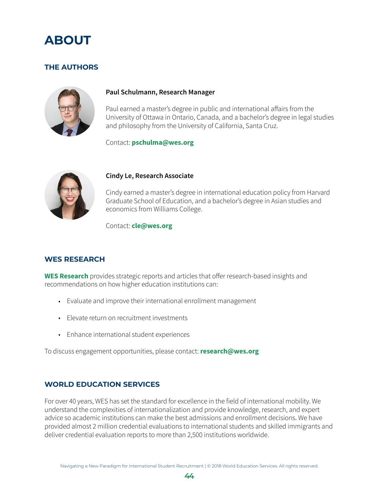<span id="page-50-0"></span>

### **THE AUTHORS**



#### **Paul Schulmann, Research Manager**

Paul earned a master's degree in public and international affairs from the University of Ottawa in Ontario, Canada, and a bachelor's degree in legal studies and philosophy from the University of California, Santa Cruz.

Contact: **[pschulma@wes.org](mailto:pschulma@wes.org)**



#### **Cindy Le, Research Associate**

Cindy earned a master's degree in international education policy from Harvard Graduate School of Education, and a bachelor's degree in Asian studies and economics from Williams College.

Contact: **[cle@wes.org](mailto:cle@wes.org)**

### **WES RESEARCH**

**[WES Research](https://www.wes.org/partners/research/)** provides strategic reports and articles that offer research-based insights and recommendations on how higher education institutions can:

- Evaluate and improve their international enrollment management
- Elevate return on recruitment investments
- Enhance international student experiences

To discuss engagement opportunities, please contact: **[research@wes.org](mailto:research%40wes.org?subject=)**

### **WORLD EDUCATION SERVICES**

For over 40 years, WES has set the standard for excellence in the field of international mobility. We understand the complexities of internationalization and provide knowledge, research, and expert advice so academic institutions can make the best admissions and enrollment decisions. We have provided almost 2 million credential evaluations to international students and skilled immigrants and deliver credential evaluation reports to more than 2,500 institutions worldwide.

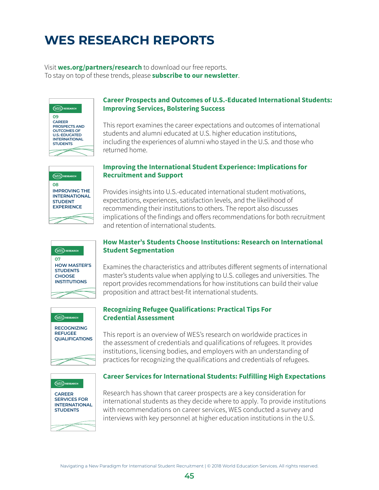### <span id="page-51-0"></span>**WES RESEARCH REPORTS**

Visit **[wes.org/partners/research](https://www.wes.org/partners/research/)** to download our free reports. To stay on top of these trends, please **[subscribe to our newsletter](http://knowledge.wes.org/Subscription-Page.html)**.





### **Career Prospects and Outcomes of U.S.-Educated International Students: Improving Services, Bolstering Success**

This report examines the career expectations and outcomes of international students and alumni educated at U.S. higher education institutions, including the experiences of alumni who stayed in the U.S. and those who returned home.

### **Improving the International Student Experience: Implications for Recruitment and Support**

Provides insights into U.S.-educated international student motivations, expectations, experiences, satisfaction levels, and the likelihood of recommending their institutions to others. The report also discusses implications of the findings and offers recommendations for both recruitment and retention of international students.



### **How Master's Students Choose Institutions: Research on International Student Segmentation**

Examines the characteristics and attributes different segments of international master's students value when applying to U.S. colleges and universities. The report provides recommendations for how institutions can build their value proposition and attract best-fit international students.





### **[Recognizing Refugee Qualifications: Practical](http://knowledge.wes.org/WES-2016-Research-Report-Recognizing-Refugee-Credentials.html) Tips For [Credential Assessment](http://knowledge.wes.org/WES-2016-Research-Report-Recognizing-Refugee-Credentials.html)**

This report is an overview of WES's research on worldwide practices in the assessment of credentials and qualifications of refugees. It provides institutions, licensing bodies, and employers with an understanding of practices for recognizing the qualifications and credentials of refugees.

### **[Career Services for International Students: Fulfilling High Exp](http://knowledge.wes.org/WES-2016-Research-Report-Career-Services-for-International-Students.html)ectations**

Research has shown that career prospects are a key consideration for international students as they decide where to apply. To provide institutions with recommendations on career services, WES conducted a survey and interviews with key personnel at higher education institutions in the U.S.